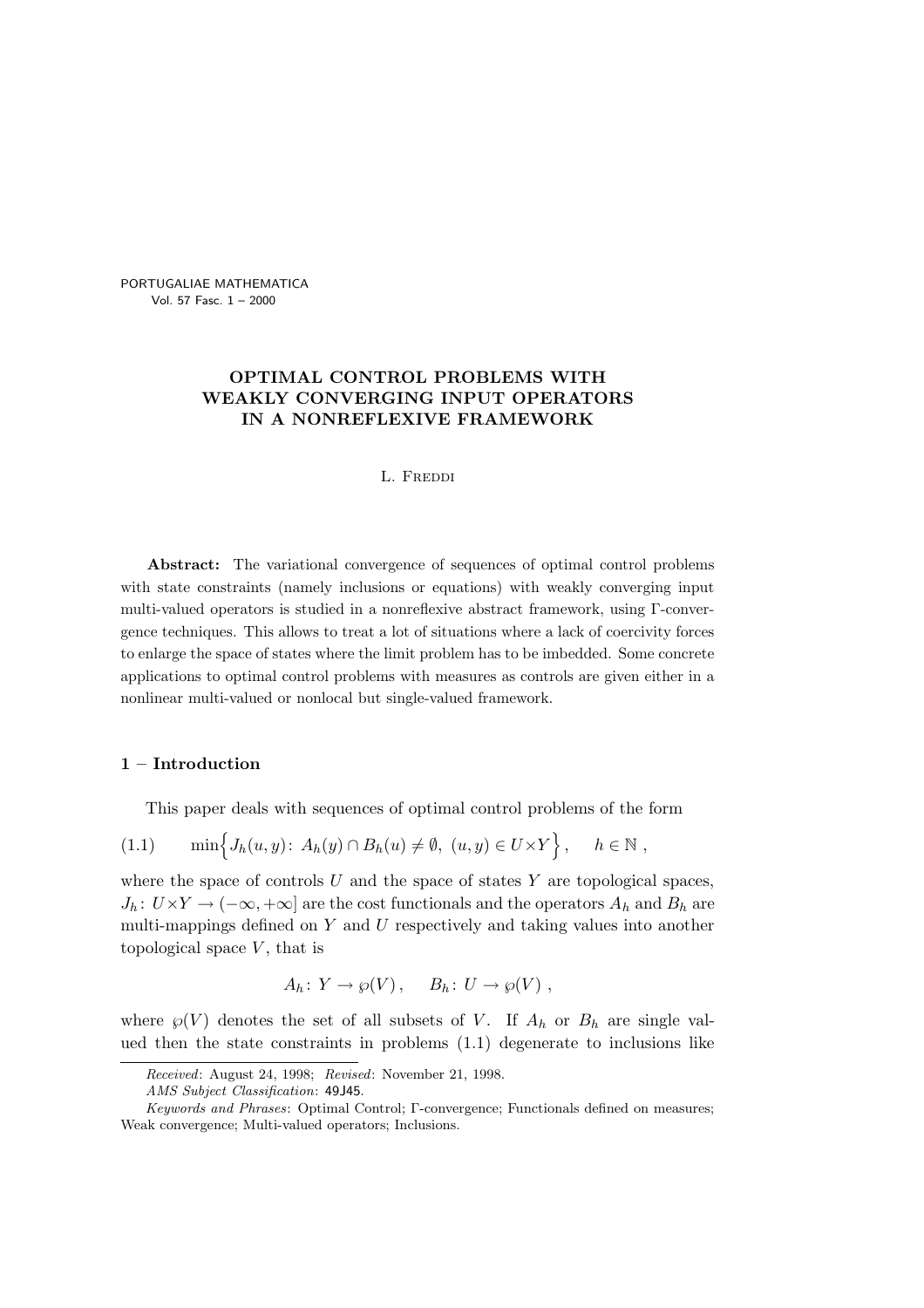PORTUGALIAE MATHEMATICA Vol. 57 Fasc. 1 – 2000

# OPTIMAL CONTROL PROBLEMS WITH WEAKLY CONVERGING INPUT OPERATORS IN A NONREFLEXIVE FRAMEWORK

#### L. FREDDI

Abstract: The variational convergence of sequences of optimal control problems with state constraints (namely inclusions or equations) with weakly converging input multi-valued operators is studied in a nonreflexive abstract framework, using Γ-convergence techniques. This allows to treat a lot of situations where a lack of coercivity forces to enlarge the space of states where the limit problem has to be imbedded. Some concrete applications to optimal control problems with measures as controls are given either in a nonlinear multi-valued or nonlocal but single-valued framework.

## 1 – Introduction

This paper deals with sequences of optimal control problems of the form

$$
(1.1) \qquad \min\Big\{J_h(u,y)\colon A_h(y)\cap B_h(u)\neq\emptyset, \ (u,y)\in U\times Y\Big\}, \qquad h\in\mathbb{N},
$$

where the space of controls  $U$  and the space of states  $Y$  are topological spaces,  $J_h: U \times Y \to (-\infty, +\infty]$  are the cost functionals and the operators  $A_h$  and  $B_h$  are multi-mappings defined on  $Y$  and  $U$  respectively and taking values into another topological space  $V$ , that is

$$
A_h\colon Y\to \wp(V)\,,\quad B_h\colon U\to \wp(V)\,,
$$

where  $\wp(V)$  denotes the set of all subsets of V. If  $A_h$  or  $B_h$  are single valued then the state constraints in problems (1.1) degenerate to inclusions like

Received: August 24, 1998; Revised: November 21, 1998.

AMS Subject Classification: 49J45.

Keywords and Phrases: Optimal Control; Γ-convergence; Functionals defined on measures; Weak convergence; Multi-valued operators; Inclusions.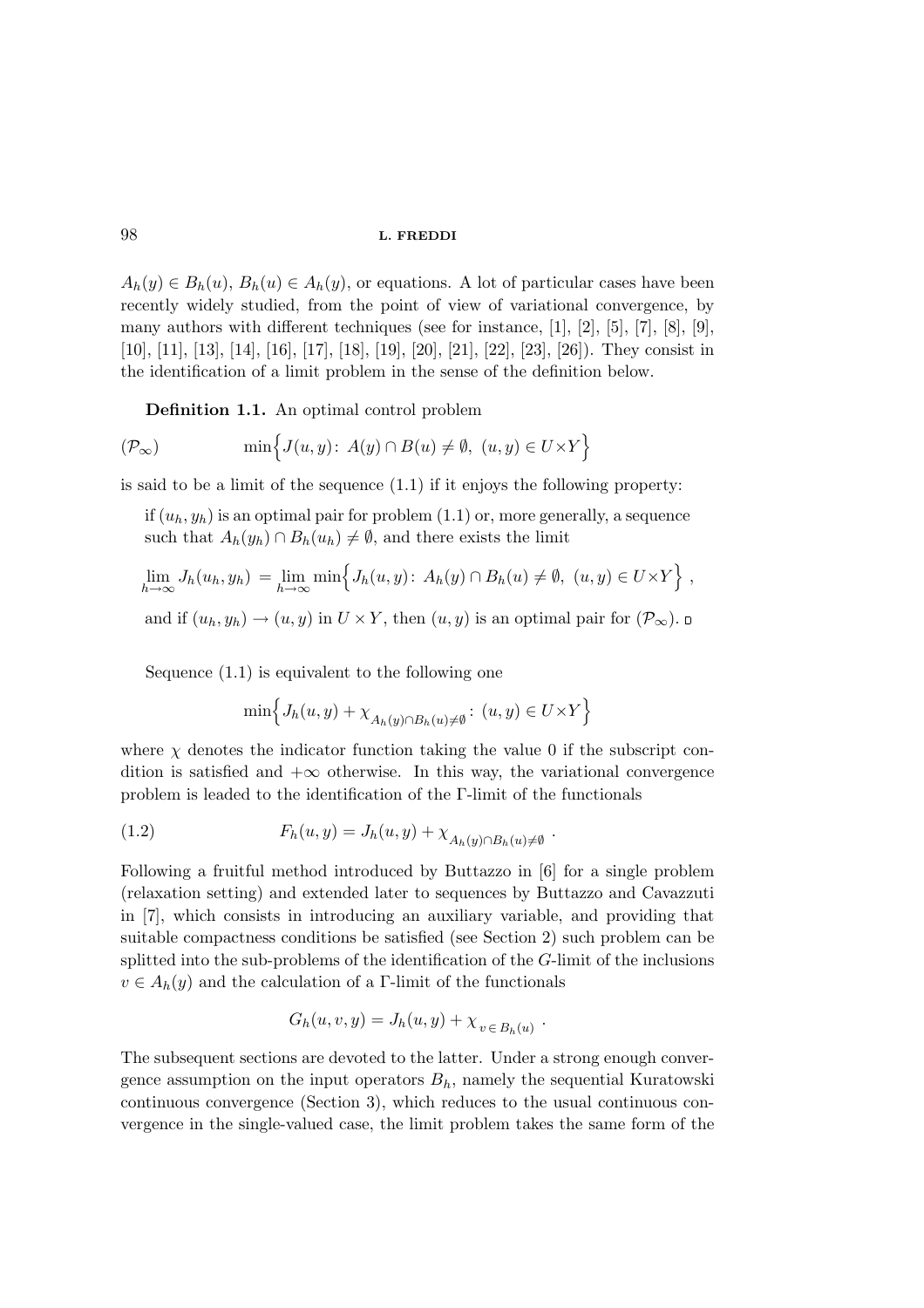$A_h(y) \in B_h(u), B_h(u) \in A_h(y)$ , or equations. A lot of particular cases have been recently widely studied, from the point of view of variational convergence, by many authors with different techniques (see for instance, [1], [2], [5], [7], [8], [9], [10], [11], [13], [14], [16], [17], [18], [19], [20], [21], [22], [23], [26]). They consist in the identification of a limit problem in the sense of the definition below.

Definition 1.1. An optimal control problem

$$
(\mathcal{P}_{\infty}) \qquad \min \Big\{ J(u, y) : A(y) \cap B(u) \neq \emptyset, \ (u, y) \in U \times Y \Big\}
$$

is said to be a limit of the sequence  $(1.1)$  if it enjoys the following property:

if  $(u_h, y_h)$  is an optimal pair for problem  $(1.1)$  or, more generally, a sequence such that  $A_h(y_h) \cap B_h(u_h) \neq \emptyset$ , and there exists the limit

$$
\lim_{h\to\infty} J_h(u_h, y_h) = \lim_{h\to\infty} \min \Big\{ J_h(u, y) \colon A_h(y) \cap B_h(u) \neq \emptyset, \ (u, y) \in U \times Y \Big\} ,
$$

and if  $(u_h, y_h) \to (u, y)$  in  $U \times Y$ , then  $(u, y)$  is an optimal pair for  $(\mathcal{P}_\infty)$ .

Sequence (1.1) is equivalent to the following one

$$
\min \Bigl\{J_h(u,y) + \chi_{A_h(y) \cap B_h(u) \neq \emptyset} : (u,y) \in U \times Y \Bigr\}
$$

where  $\chi$  denotes the indicator function taking the value 0 if the subscript condition is satisfied and  $+\infty$  otherwise. In this way, the variational convergence problem is leaded to the identification of the Γ-limit of the functionals

(1.2) 
$$
F_h(u, y) = J_h(u, y) + \chi_{A_h(y) \cap B_h(u) \neq \emptyset}.
$$

Following a fruitful method introduced by Buttazzo in [6] for a single problem (relaxation setting) and extended later to sequences by Buttazzo and Cavazzuti in [7], which consists in introducing an auxiliary variable, and providing that suitable compactness conditions be satisfied (see Section 2) such problem can be splitted into the sub-problems of the identification of the G-limit of the inclusions  $v \in A_h(y)$  and the calculation of a Γ-limit of the functionals

$$
G_h(u, v, y) = J_h(u, y) + \chi_{v \in B_h(u)}.
$$

The subsequent sections are devoted to the latter. Under a strong enough convergence assumption on the input operators  $B_h$ , namely the sequential Kuratowski continuous convergence (Section 3), which reduces to the usual continuous convergence in the single-valued case, the limit problem takes the same form of the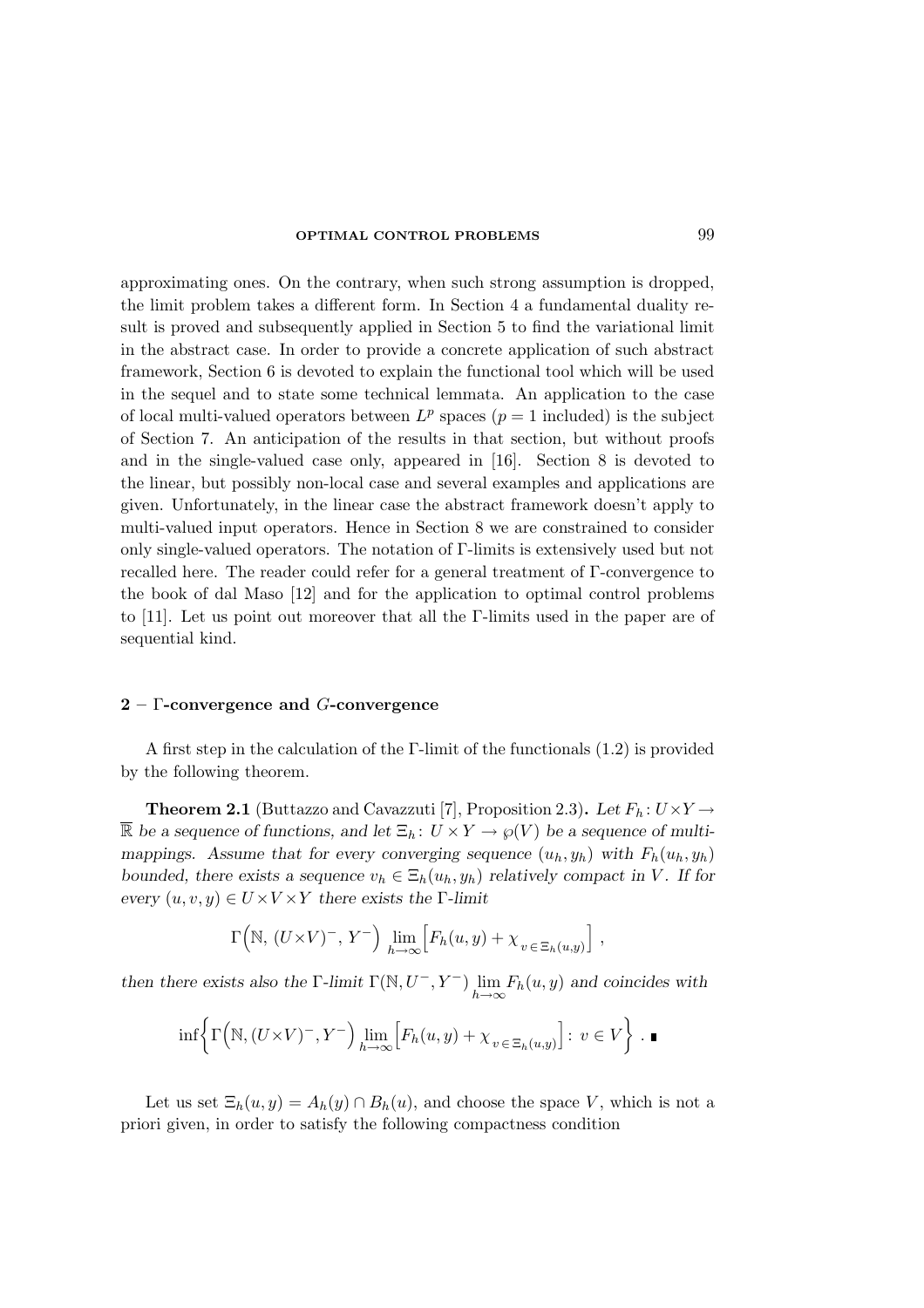approximating ones. On the contrary, when such strong assumption is dropped, the limit problem takes a different form. In Section 4 a fundamental duality result is proved and subsequently applied in Section 5 to find the variational limit in the abstract case. In order to provide a concrete application of such abstract framework, Section 6 is devoted to explain the functional tool which will be used in the sequel and to state some technical lemmata. An application to the case of local multi-valued operators between  $L^p$  spaces  $(p = 1 \text{ included})$  is the subject of Section 7. An anticipation of the results in that section, but without proofs and in the single-valued case only, appeared in [16]. Section 8 is devoted to the linear, but possibly non-local case and several examples and applications are given. Unfortunately, in the linear case the abstract framework doesn't apply to multi-valued input operators. Hence in Section 8 we are constrained to consider only single-valued operators. The notation of Γ-limits is extensively used but not recalled here. The reader could refer for a general treatment of Γ-convergence to the book of dal Maso [12] and for the application to optimal control problems to [11]. Let us point out moreover that all the Γ-limits used in the paper are of sequential kind.

## $2 - \Gamma$ -convergence and G-convergence

A first step in the calculation of the Γ-limit of the functionals (1.2) is provided by the following theorem.

**Theorem 2.1** (Buttazzo and Cavazzuti [7], Proposition 2.3). Let  $F_h: U \times Y \rightarrow$  $\overline{\mathbb{R}}$  be a sequence of functions, and let  $\Xi_h: U \times Y \to \wp(V)$  be a sequence of multimappings. Assume that for every converging sequence  $(u_h, y_h)$  with  $F_h(u_h, y_h)$ bounded, there exists a sequence  $v_h \in \Xi_h(u_h, y_h)$  relatively compact in V. If for every  $(u, v, y) \in U \times V \times Y$  there exists the Γ-limit

$$
\Gamma\left(\mathbb{N}, (U \times V)^-, Y^-\right) \lim_{h \to \infty} \Big[ F_h(u, y) + \chi_{v \in \Xi_h(u, y)} \Big],
$$

then there exists also the  $\Gamma$ -limit  $\Gamma(\mathbb{N}, U^-, Y^-)$   $\lim_{h\to\infty} F_h(u, y)$  and coincides with

$$
\inf \left\{ \Gamma\left(\mathbb{N}, (U \times V)^-, Y^-\right) \lim_{h \to \infty} \left[F_h(u, y) + \chi_{v \in \Xi_h(u, y)}\right] : v \in V \right\} . \blacksquare
$$

Let us set  $\Xi_h(u, y) = A_h(y) \cap B_h(u)$ , and choose the space V, which is not a priori given, in order to satisfy the following compactness condition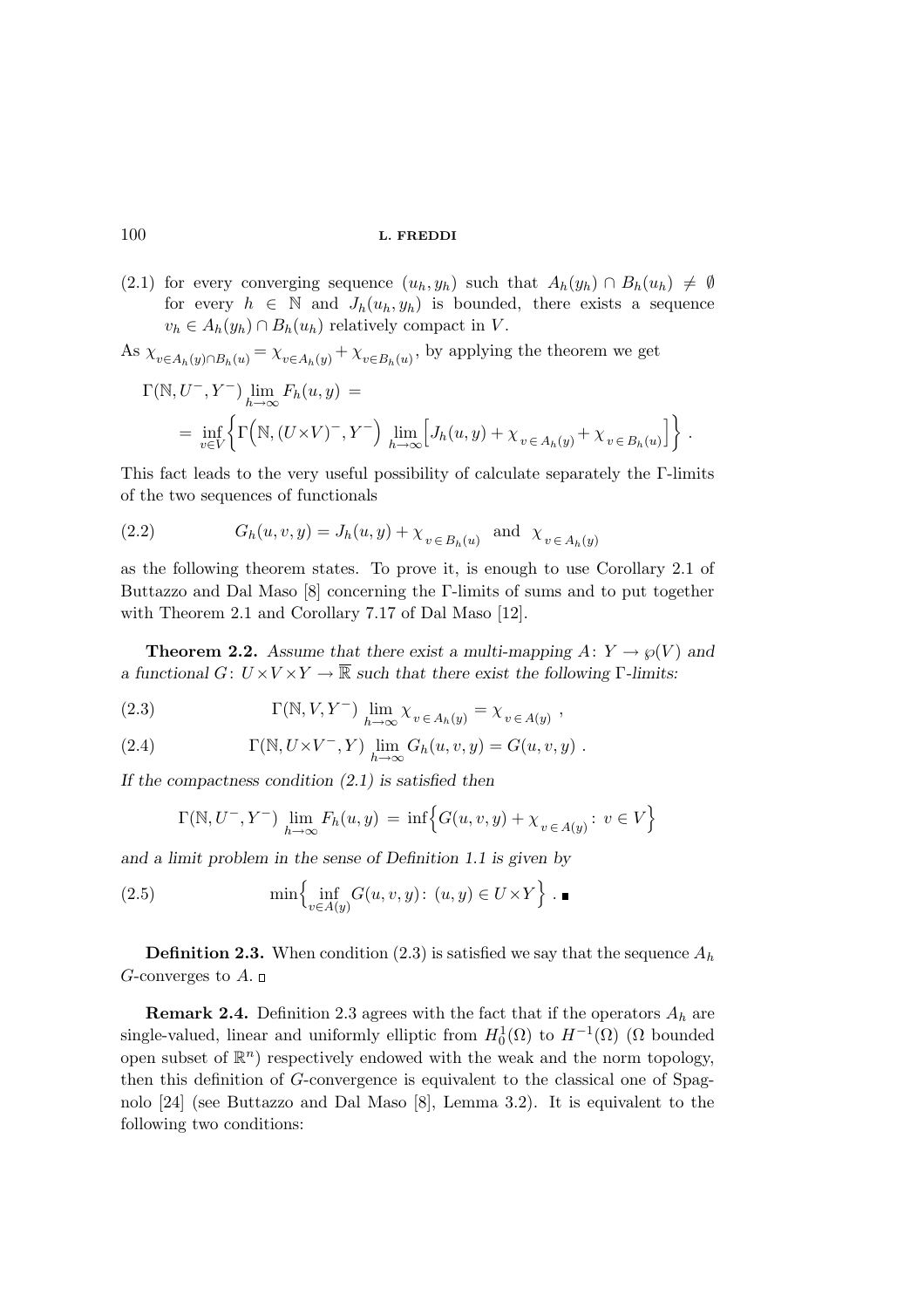(2.1) for every converging sequence  $(u_h, y_h)$  such that  $A_h(y_h) \cap B_h(u_h) \neq \emptyset$ for every  $h \in \mathbb{N}$  and  $J_h(u_h, y_h)$  is bounded, there exists a sequence  $v_h \in A_h(y_h) \cap B_h(u_h)$  relatively compact in V.

As 
$$
\chi_{v \in A_h(y) \cap B_h(u)} = \chi_{v \in A_h(y)} + \chi_{v \in B_h(u)}
$$
, by applying the theorem we get

$$
\Gamma(\mathbb{N}, U^-, Y^-) \lim_{h \to \infty} F_h(u, y) =
$$
  
= 
$$
\inf_{v \in V} \left\{ \Gamma\left(\mathbb{N}, (U \times V)^-, Y^-\right) \lim_{h \to \infty} \left[J_h(u, y) + \chi_{v \in A_h(y)} + \chi_{v \in B_h(u)}\right] \right\}.
$$

This fact leads to the very useful possibility of calculate separately the Γ-limits of the two sequences of functionals

(2.2) 
$$
G_h(u, v, y) = J_h(u, y) + \chi_{v \in B_h(u)} \text{ and } \chi_{v \in A_h(y)}
$$

as the following theorem states. To prove it, is enough to use Corollary 2.1 of Buttazzo and Dal Maso [8] concerning the Γ-limits of sums and to put together with Theorem 2.1 and Corollary 7.17 of Dal Maso [12].

**Theorem 2.2.** Assume that there exist a multi-mapping  $A: Y \to \varphi(V)$  and a functional  $G: U \times V \times Y \to \overline{\mathbb{R}}$  such that there exist the following Γ-limits:

(2.3) 
$$
\Gamma(\mathbb{N}, V, Y^-) \lim_{h \to \infty} \chi_{v \in A_h(y)} = \chi_{v \in A(y)},
$$

(2.4) 
$$
\Gamma(\mathbb{N}, U \times V^-, Y) \lim_{h \to \infty} G_h(u, v, y) = G(u, v, y) .
$$

If the compactness condition  $(2.1)$  is satisfied then

$$
\Gamma(\mathbb{N}, U^-, Y^-)
$$
  $\lim_{h \to \infty} F_h(u, y) = \inf \Big\{ G(u, v, y) + \chi_{v \in A(y)} : v \in V \Big\}$ 

and a limit problem in the sense of Definition 1.1 is given by

(2.5) 
$$
\min \left\{ \inf_{v \in A(y)} G(u, v, y) : (u, y) \in U \times Y \right\} . \blacksquare
$$

**Definition 2.3.** When condition (2.3) is satisfied we say that the sequence  $A_h$ G-converges to  $A$ .  $\Box$ 

**Remark 2.4.** Definition 2.3 agrees with the fact that if the operators  $A_h$  are single-valued, linear and uniformly elliptic from  $H_0^1(\Omega)$  to  $H^{-1}(\Omega)$  ( $\Omega$  bounded open subset of  $\mathbb{R}^n$ ) respectively endowed with the weak and the norm topology, then this definition of G-convergence is equivalent to the classical one of Spagnolo [24] (see Buttazzo and Dal Maso [8], Lemma 3.2). It is equivalent to the following two conditions: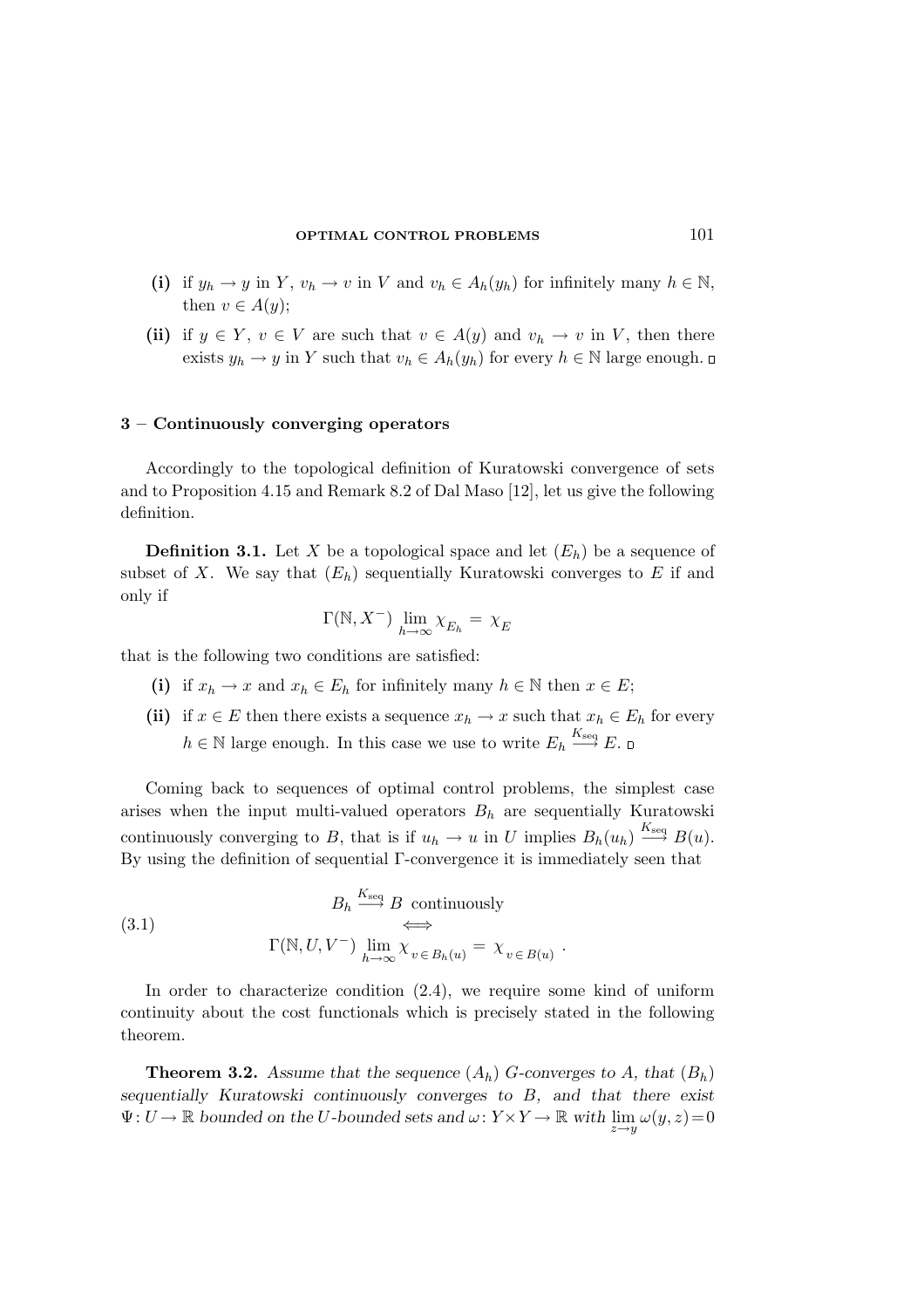- (i) if  $y_h \to y$  in Y,  $v_h \to v$  in V and  $v_h \in A_h(y_h)$  for infinitely many  $h \in \mathbb{N}$ , then  $v \in A(y)$ ;
- (ii) if  $y \in Y$ ,  $v \in V$  are such that  $v \in A(y)$  and  $v_h \to v$  in V, then there exists  $y_h \to y$  in Y such that  $v_h \in A_h(y_h)$  for every  $h \in \mathbb{N}$  large enough.  $\Box$

## 3 – Continuously converging operators

Accordingly to the topological definition of Kuratowski convergence of sets and to Proposition 4.15 and Remark 8.2 of Dal Maso [12], let us give the following definition.

**Definition 3.1.** Let X be a topological space and let  $(E_h)$  be a sequence of subset of X. We say that  $(E_h)$  sequentially Kuratowski converges to E if and only if

$$
\Gamma(\mathbb{N}, X^-) \lim_{h \to \infty} \chi_{E_h} = \chi_E
$$

that is the following two conditions are satisfied:

- (i) if  $x_h \to x$  and  $x_h \in E_h$  for infinitely many  $h \in \mathbb{N}$  then  $x \in E$ ;
- (ii) if  $x \in E$  then there exists a sequence  $x_h \to x$  such that  $x_h \in E_h$  for every  $h \in \mathbb{N}$  large enough. In this case we use to write  $E_h \stackrel{K_{\text{seq}}}{\longrightarrow} E$ .

Coming back to sequences of optimal control problems, the simplest case arises when the input multi-valued operators  $B_h$  are sequentially Kuratowski continuously converging to B, that is if  $u_h \to u$  in U implies  $B_h(u_h) \stackrel{K_{\text{seq}}}{\longrightarrow} B(u)$ . By using the definition of sequential Γ-convergence it is immediately seen that

(3.1) 
$$
B_h \xrightarrow{K_{\text{seq}}} B \text{ continuously}
$$

$$
\xrightarrow{\Gamma(\mathbb{N}, U, V^-)} \lim_{h \to \infty} \chi_{v \in B_h(u)} = \chi_{v \in B(u)}.
$$

In order to characterize condition (2.4), we require some kind of uniform continuity about the cost functionals which is precisely stated in the following theorem.

**Theorem 3.2.** Assume that the sequence  $(A_h)$  G-converges to A, that  $(B_h)$ sequentially Kuratowski continuously converges to B, and that there exist  $\Psi: U \to \mathbb{R}$  bounded on the U-bounded sets and  $\omega: Y \times Y \to \mathbb{R}$  with  $\lim_{z \to y} \omega(y, z) = 0$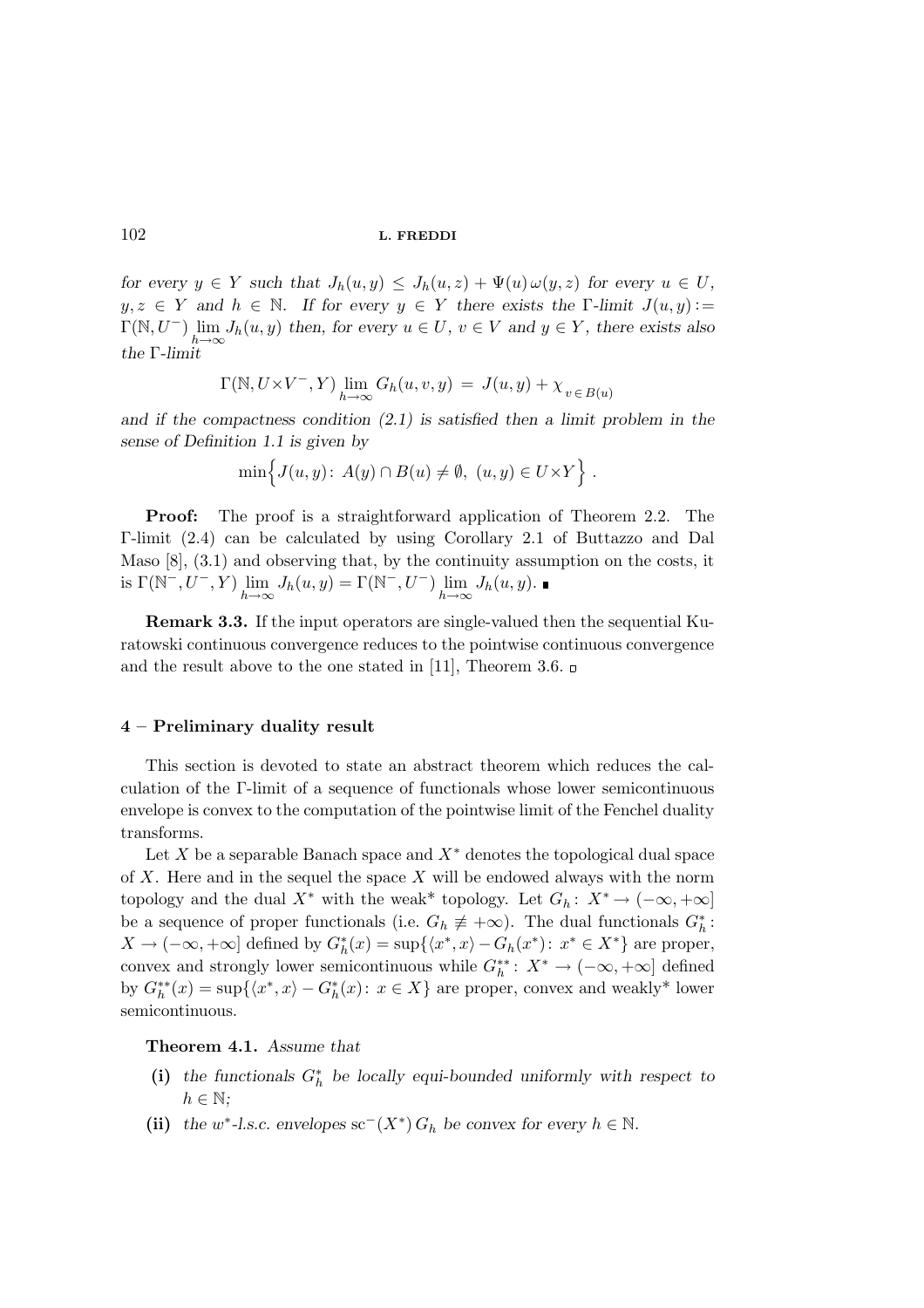for every  $y \in Y$  such that  $J_h(u, y) \leq J_h(u, z) + \Psi(u) \omega(y, z)$  for every  $u \in U$ ,  $y, z \in Y$  and  $h \in \mathbb{N}$ . If for every  $y \in Y$  there exists the  $\Gamma$ -limit  $J(u, y) :=$  $\Gamma(\mathbb{N}, U^-)$   $\lim_{h\to\infty} J_h(u, y)$  then, for every  $u \in U$ ,  $v \in V$  and  $y \in Y$ , there exists also the Γ-limit

$$
\Gamma(\mathbb{N},U{\times}V^-,Y)\lim_{h\to\infty}G_h(u,v,y)\,=\,J(u,y)+\chi_{\,v\,\in\,B(u)}
$$

and if the compactness condition  $(2.1)$  is satisfied then a limit problem in the sense of Definition 1.1 is given by

$$
\min \Big\{ J(u, y) \colon A(y) \cap B(u) \neq \emptyset, \ (u, y) \in U \times Y \Big\} .
$$

Proof: The proof is a straightforward application of Theorem 2.2. The Γ-limit (2.4) can be calculated by using Corollary 2.1 of Buttazzo and Dal Maso [8], (3.1) and observing that, by the continuity assumption on the costs, it is  $\Gamma(\mathbb{N}^-, U^-, Y) \lim_{h \to \infty} J_h(u, y) = \Gamma(\mathbb{N}^-, U^-) \lim_{h \to \infty} J_h(u, y)$ .

Remark 3.3. If the input operators are single-valued then the sequential Kuratowski continuous convergence reduces to the pointwise continuous convergence and the result above to the one stated in [11], Theorem 3.6.

## 4 – Preliminary duality result

This section is devoted to state an abstract theorem which reduces the calculation of the Γ-limit of a sequence of functionals whose lower semicontinuous envelope is convex to the computation of the pointwise limit of the Fenchel duality transforms.

Let X be a separable Banach space and  $X^*$  denotes the topological dual space of  $X$ . Here and in the sequel the space  $X$  will be endowed always with the norm topology and the dual X<sup>\*</sup> with the weak<sup>\*</sup> topology. Let  $G_h: X^* \to (-\infty, +\infty]$ be a sequence of proper functionals (i.e.  $G_h \neq +\infty$ ). The dual functionals  $G_h^*$ :  $X \to (-\infty, +\infty]$  defined by  $G_h^*(x) = \sup\{\langle x^*, x \rangle - G_h(x^*)\colon x^* \in X^*\}$  are proper, convex and strongly lower semicontinuous while  $G_h^{**}$ :  $X^* \to (-\infty, +\infty]$  defined by  $G_h^{**}(x) = \sup\{\langle x^*, x \rangle - G_h^{*}(x): x \in X\}$  are proper, convex and weakly\* lower semicontinuous.

Theorem 4.1. Assume that

- (i) the functionals  $G_h^*$  be locally equi-bounded uniformly with respect to  $h \in \mathbb{N}$ :
- (ii) the w<sup>\*</sup>-l.s.c. envelopes sc<sup>-</sup>( $X^*$ )  $G_h$  be convex for every  $h \in \mathbb{N}$ .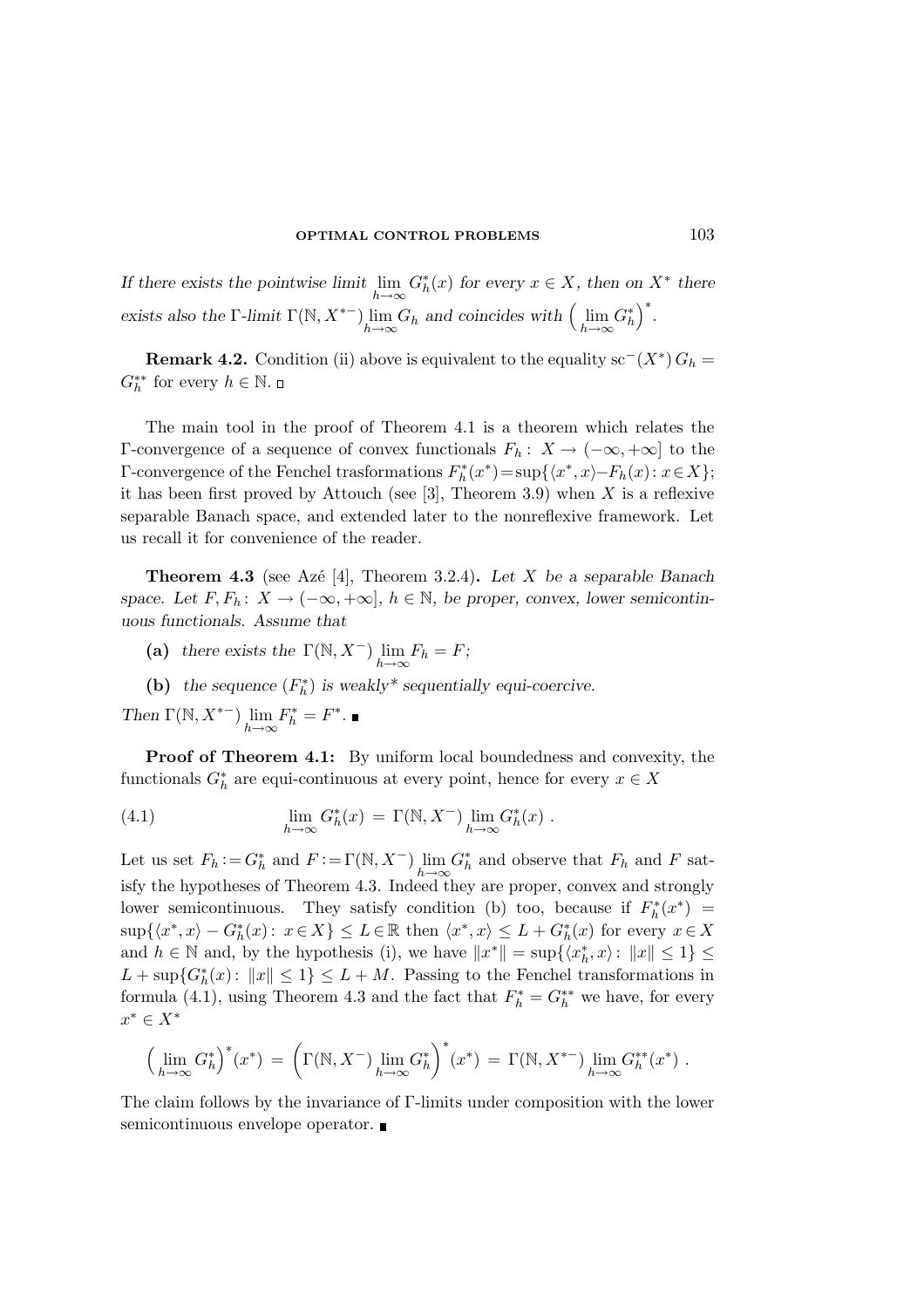If there exists the pointwise limit  $\lim_{h\to\infty} G_h^*(x)$  for every  $x \in X$ , then on  $X^*$  there exists also the  $\Gamma$ -limit  $\Gamma(\mathbb{N}, X^{*-})$   $\lim_{h\to\infty} G_h$  and coincides with  $\left(\lim_{h\to\infty} G_h^*\right)^*$ .

**Remark 4.2.** Condition (ii) above is equivalent to the equality sc<sup>-</sup> $(X^*)$   $G_h$  =  $G_h^{**}$  for every  $h \in \mathbb{N}$ .

The main tool in the proof of Theorem 4.1 is a theorem which relates the Γ-convergence of a sequence of convex functionals  $F_h$ :  $X \to$  (−∞, +∞) to the  $\Gamma$ -convergence of the Fenchel trasformations  $F_h^*(x^*) = \sup\{\langle x^*, x \rangle - F_h(x) : x \in X\};$ it has been first proved by Attouch (see  $[3]$ , Theorem 3.9) when X is a reflexive separable Banach space, and extended later to the nonreflexive framework. Let us recall it for convenience of the reader.

**Theorem 4.3** (see Azé [4], Theorem 3.2.4). Let X be a separable Banach space. Let  $F, F_h: X \to (-\infty, +\infty], h \in \mathbb{N}$ , be proper, convex, lower semicontinuous functionals. Assume that

- (a) there exists the  $\Gamma(\mathbb{N}, X^-)$   $\lim_{h \to \infty} F_h = F;$
- (b) the sequence  $(F_h^*)$  is weakly\* sequentially equi-coercive.

Then  $\Gamma(\mathbb{N}, X^{*-})$   $\lim_{h\to\infty} F_h^* = F^*$ .

Proof of Theorem 4.1: By uniform local boundedness and convexity, the functionals  $G_h^*$  are equi-continuous at every point, hence for every  $x \in X$ 

(4.1) 
$$
\lim_{h \to \infty} G_h^*(x) = \Gamma(\mathbb{N}, X^-) \lim_{h \to \infty} G_h^*(x) .
$$

Let us set  $F_h := G_h^*$  and  $F := \Gamma(\mathbb{N}, X^-) \lim_{h \to \infty} G_h^*$  and observe that  $F_h$  and  $F$  satisfy the hypotheses of Theorem 4.3. Indeed they are proper, convex and strongly lower semicontinuous. They satisfy condition (b) too, because if  $F_h^*(x^*)$  =  $\sup\{\langle x^*,x\rangle-G_h^*(x)\colon\, x\in X\}\leq L\in\mathbb{R}$  then  $\langle x^*,x\rangle\leq L+G_h^*(x)$  for every  $x\in X$ and  $h \in \mathbb{N}$  and, by the hypothesis (i), we have  $||x^*|| = \sup\{\langle x_h^*, x \rangle : ||x|| \leq 1\} \leq$  $L + \sup\{G_h^*(x): ||x|| \leq 1\} \leq L + M$ . Passing to the Fenchel transformations in formula (4.1), using Theorem 4.3 and the fact that  $F_h^* = G_h^{**}$  we have, for every  $x^* \in X^*$ 

$$
\left(\lim_{h\to\infty} G_h^*\right)^*(x^*) = \left(\Gamma(\mathbb{N}, X^-) \lim_{h\to\infty} G_h^*\right)^*(x^*) = \Gamma(\mathbb{N}, X^{*-}) \lim_{h\to\infty} G_h^{**}(x^*) .
$$

The claim follows by the invariance of Γ-limits under composition with the lower semicontinuous envelope operator.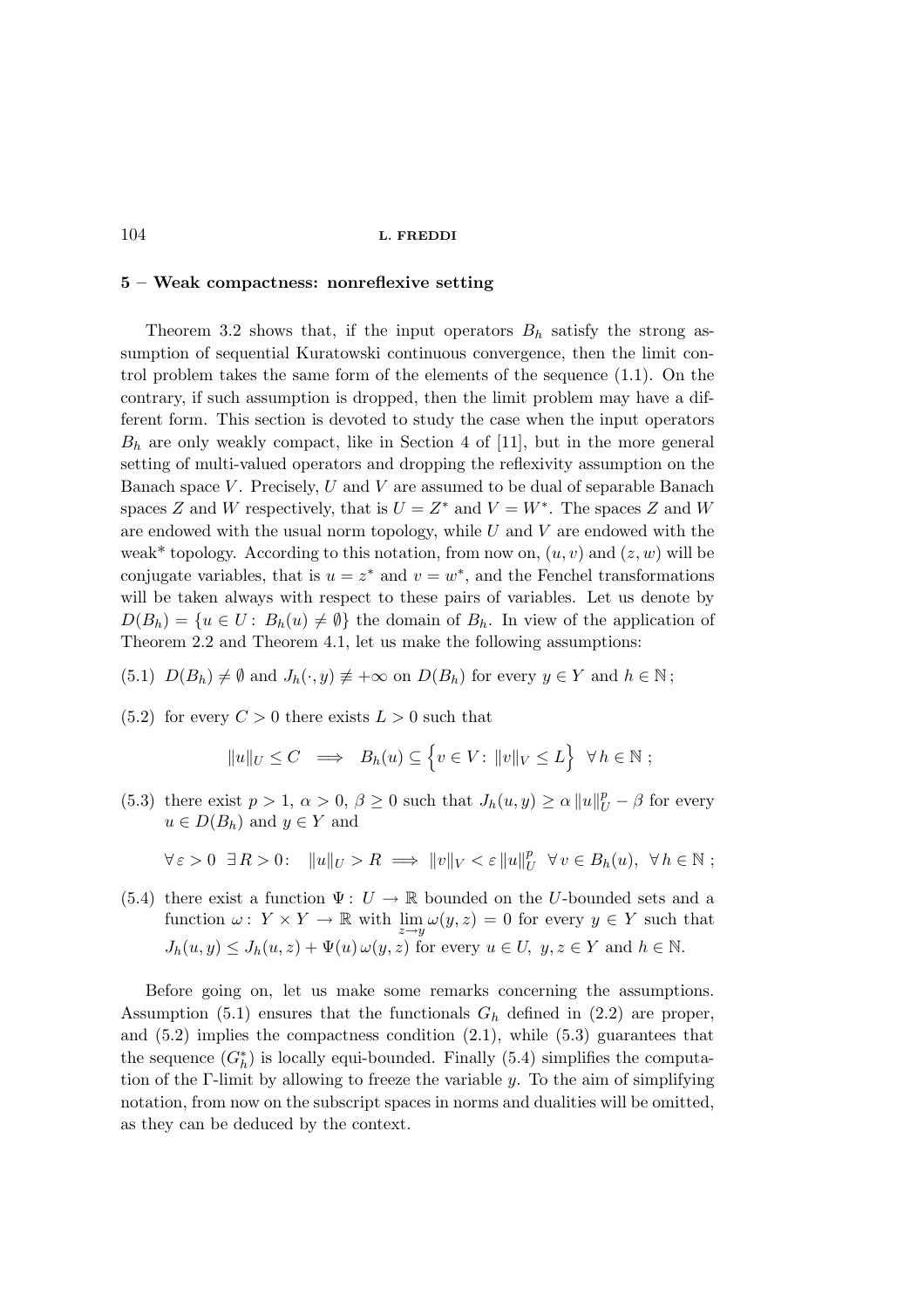## 5 – Weak compactness: nonreflexive setting

Theorem 3.2 shows that, if the input operators  $B_h$  satisfy the strong assumption of sequential Kuratowski continuous convergence, then the limit control problem takes the same form of the elements of the sequence (1.1). On the contrary, if such assumption is dropped, then the limit problem may have a different form. This section is devoted to study the case when the input operators  $B_h$  are only weakly compact, like in Section 4 of [11], but in the more general setting of multi-valued operators and dropping the reflexivity assumption on the Banach space  $V$ . Precisely,  $U$  and  $V$  are assumed to be dual of separable Banach spaces Z and W respectively, that is  $U = Z^*$  and  $V = W^*$ . The spaces Z and W are endowed with the usual norm topology, while  $U$  and  $V$  are endowed with the weak\* topology. According to this notation, from now on,  $(u, v)$  and  $(z, w)$  will be conjugate variables, that is  $u = z^*$  and  $v = w^*$ , and the Fenchel transformations will be taken always with respect to these pairs of variables. Let us denote by  $D(B_h) = \{u \in U: B_h(u) \neq \emptyset\}$  the domain of  $B_h$ . In view of the application of Theorem 2.2 and Theorem 4.1, let us make the following assumptions:

(5.1) 
$$
D(B_h) \neq \emptyset
$$
 and  $J_h(\cdot, y) \neq +\infty$  on  $D(B_h)$  for every  $y \in Y$  and  $h \in \mathbb{N}$ ;

 $(5.2)$  for every  $C > 0$  there exists  $L > 0$  such that

$$
||u||_U \leq C \implies B_h(u) \subseteq \left\{ v \in V : ||v||_V \leq L \right\} \forall h \in \mathbb{N};
$$

(5.3) there exist  $p > 1$ ,  $\alpha > 0$ ,  $\beta \ge 0$  such that  $J_h(u, y) \ge \alpha ||u||_U^p - \beta$  for every  $u \in D(B_h)$  and  $y \in Y$  and

$$
\forall \varepsilon > 0 \ \exists R > 0: \ \|u\|_{U} > R \implies \|v\|_{V} < \varepsilon \|u\|_{U}^{p} \ \forall v \in B_{h}(u), \ \forall h \in \mathbb{N};
$$

(5.4) there exist a function  $\Psi: U \to \mathbb{R}$  bounded on the U-bounded sets and a function  $\omega: Y \times Y \to \mathbb{R}$  with  $\lim_{z \to y} \omega(y, z) = 0$  for every  $y \in Y$  such that  $J_h(u, y) \leq J_h(u, z) + \Psi(u) \omega(y, z)$  for every  $u \in U$ ,  $y, z \in Y$  and  $h \in \mathbb{N}$ .

Before going on, let us make some remarks concerning the assumptions. Assumption (5.1) ensures that the functionals  $G_h$  defined in (2.2) are proper, and  $(5.2)$  implies the compactness condition  $(2.1)$ , while  $(5.3)$  guarantees that the sequence  $(G_h^*)$  is locally equi-bounded. Finally  $(5.4)$  simplifies the computation of the Γ-limit by allowing to freeze the variable y. To the aim of simplifying notation, from now on the subscript spaces in norms and dualities will be omitted, as they can be deduced by the context.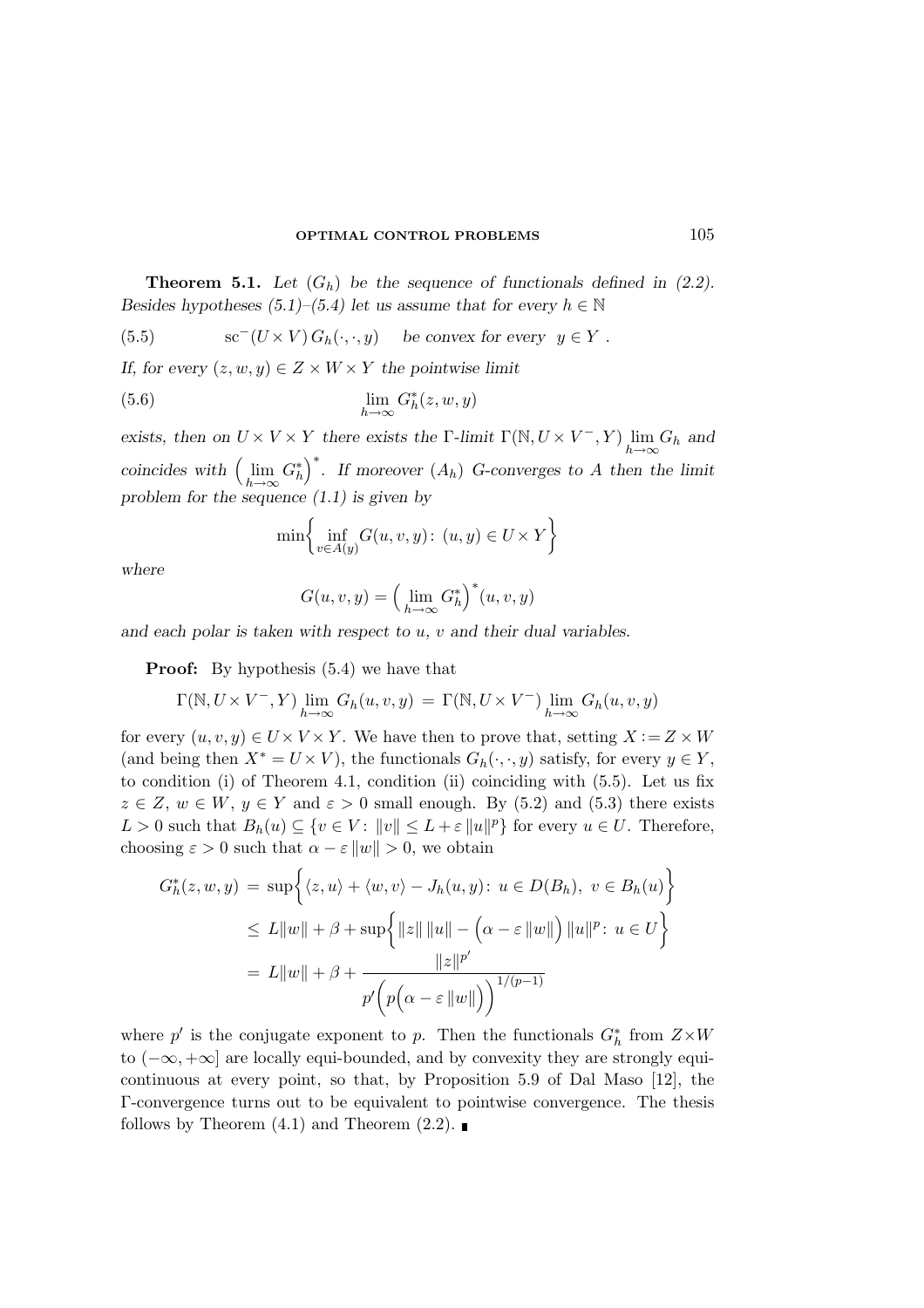**Theorem 5.1.** Let  $(G_h)$  be the sequence of functionals defined in (2.2). Besides hypotheses (5.1)–(5.4) let us assume that for every  $h \in \mathbb{N}$ 

(5.5) 
$$
\operatorname{sc}^-(U \times V) G_h(\cdot, \cdot, y) \quad \text{be convex for every } y \in Y.
$$

If, for every  $(z, w, y) \in Z \times W \times Y$  the pointwise limit

$$
\lim_{h \to \infty} G_h^*(z, w, y)
$$

exists, then on  $U \times V \times Y$  there exists the  $\Gamma$ -limit  $\Gamma(\mathbb{N}, U \times V^-, Y)$   $\lim_{h \to \infty} G_h$  and coincides with  $\left(\lim_{h\to\infty} G_h^*\right)^*$ . If moreover  $(A_h)$  G-converges to A then the limit problem for the sequence  $(1.1)$  is given by

$$
\min \left\{ \inf_{v \in A(y)} G(u, v, y) : (u, y) \in U \times Y \right\}
$$

where

$$
G(u,v,y)=\Big(\lim_{h\to\infty}G^*_h\Big)^*(u,v,y)
$$

and each polar is taken with respect to  $u, v$  and their dual variables.

Proof: By hypothesis (5.4) we have that

$$
\Gamma(\mathbb{N}, U \times V^-, Y) \lim_{h \to \infty} G_h(u, v, y) = \Gamma(\mathbb{N}, U \times V^-) \lim_{h \to \infty} G_h(u, v, y)
$$

for every  $(u, v, y) \in U \times V \times Y$ . We have then to prove that, setting  $X := Z \times W$ (and being then  $X^* = U \times V$ ), the functionals  $G_h(\cdot, \cdot, y)$  satisfy, for every  $y \in Y$ , to condition (i) of Theorem 4.1, condition (ii) coinciding with (5.5). Let us fix  $z \in Z$ ,  $w \in W$ ,  $y \in Y$  and  $\varepsilon > 0$  small enough. By (5.2) and (5.3) there exists  $L > 0$  such that  $B_h(u) \subseteq \{v \in V : ||v|| \le L + \varepsilon ||u||^p\}$  for every  $u \in U$ . Therefore, choosing  $\varepsilon > 0$  such that  $\alpha - \varepsilon ||w|| > 0$ , we obtain

$$
G_h^*(z, w, y) = \sup \Big\{ \langle z, u \rangle + \langle w, v \rangle - J_h(u, y) : u \in D(B_h), v \in B_h(u) \Big\}
$$
  

$$
\leq L \|w\| + \beta + \sup \Big\{ \|z\| \|u\| - \Big(\alpha - \varepsilon \|w\| \Big) \|u\|^p : u \in U \Big\}
$$
  

$$
= L \|w\| + \beta + \frac{\|z\|^{p'}}{p'\Big(p\Big(\alpha - \varepsilon \|w\|\Big)\Big)^{1/(p-1)}}
$$

where  $p'$  is the conjugate exponent to p. Then the functionals  $G_h^*$  from  $Z \times W$ to (−∞, +∞] are locally equi-bounded, and by convexity they are strongly equicontinuous at every point, so that, by Proposition 5.9 of Dal Maso [12], the Γ-convergence turns out to be equivalent to pointwise convergence. The thesis follows by Theorem  $(4.1)$  and Theorem  $(2.2)$ .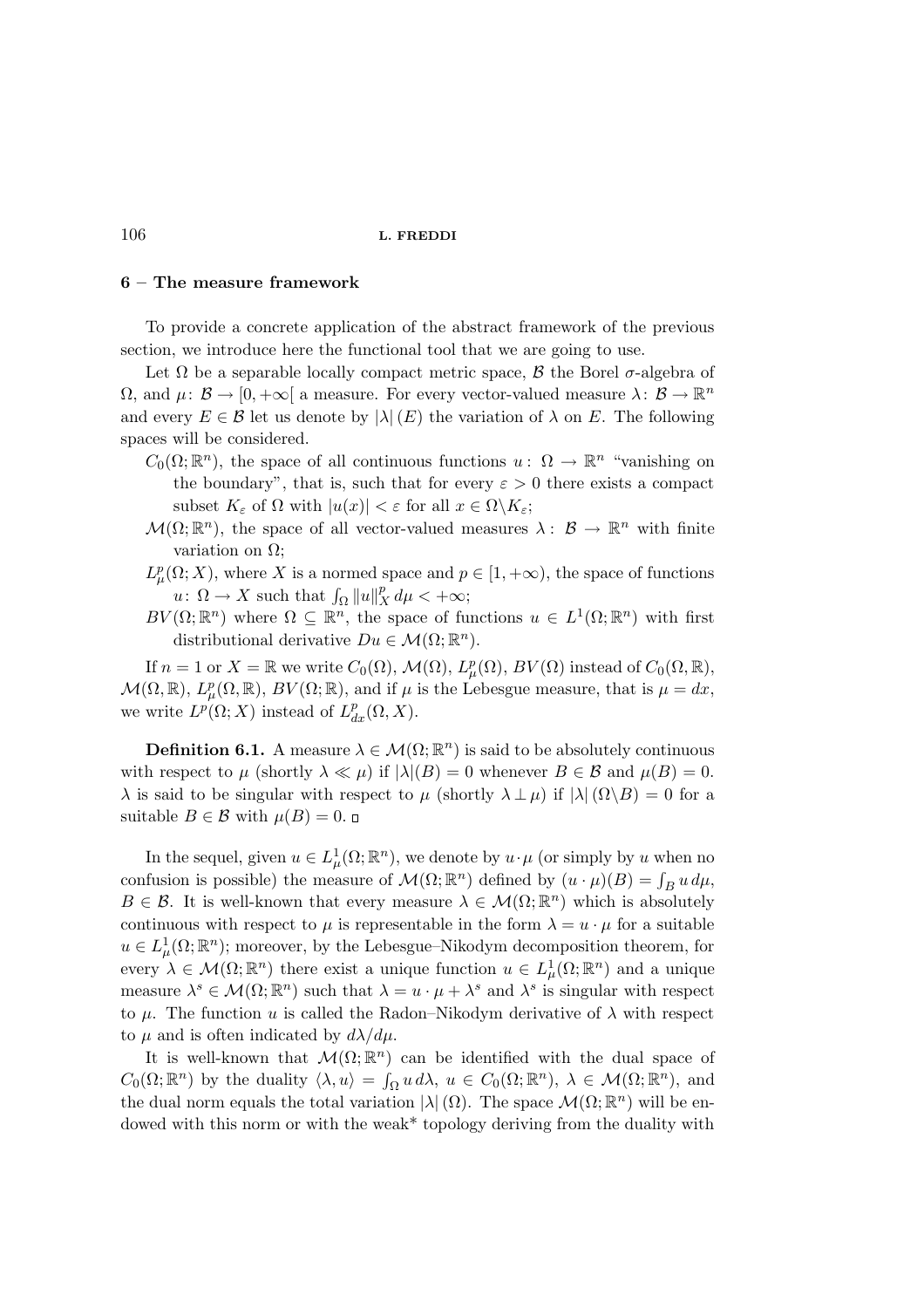## 6 – The measure framework

To provide a concrete application of the abstract framework of the previous section, we introduce here the functional tool that we are going to use.

Let  $\Omega$  be a separable locally compact metric space,  $\beta$  the Borel  $\sigma$ -algebra of  $\Omega$ , and  $\mu: \mathcal{B} \to [0, +\infty[$  a measure. For every vector-valued measure  $\lambda: \mathcal{B} \to \mathbb{R}^n$ and every  $E \in \mathcal{B}$  let us denote by  $|\lambda|(E)$  the variation of  $\lambda$  on E. The following spaces will be considered.

- $C_0(\Omega;\mathbb{R}^n)$ , the space of all continuous functions  $u: \Omega \to \mathbb{R}^n$  "vanishing on the boundary", that is, such that for every  $\varepsilon > 0$  there exists a compact subset  $K_{\varepsilon}$  of  $\Omega$  with  $|u(x)| < \varepsilon$  for all  $x \in \Omega \backslash K_{\varepsilon}$ ;
- $\mathcal{M}(\Omega;\mathbb{R}^n)$ , the space of all vector-valued measures  $\lambda: \mathcal{B} \to \mathbb{R}^n$  with finite variation on  $\Omega$ ;
- $L^p_\mu(\Omega;X)$ , where X is a normed space and  $p\in[1,+\infty)$ , the space of functions  $u: \Omega \to X$  such that  $\int_{\Omega} ||u||_X^p d\mu < +\infty;$
- $BV(\Omega;\mathbb{R}^n)$  where  $\Omega \subseteq \mathbb{R}^n$ , the space of functions  $u \in L^1(\Omega;\mathbb{R}^n)$  with first distributional derivative  $Du \in \mathcal{M}(\Omega;\mathbb{R}^n)$ .

If  $n = 1$  or  $X = \mathbb{R}$  we write  $C_0(\Omega)$ ,  $\mathcal{M}(\Omega)$ ,  $L^p_\mu(\Omega)$ ,  $BV(\Omega)$  instead of  $C_0(\Omega, \mathbb{R})$ ,  $\mathcal{M}(\Omega,\mathbb{R}), L^p_\mu(\Omega,\mathbb{R}), BV(\Omega;\mathbb{R}),$  and if  $\mu$  is the Lebesgue measure, that is  $\mu = dx$ , we write  $L^p(\Omega; X)$  instead of  $L^p_{dx}(\Omega, X)$ .

**Definition 6.1.** A measure  $\lambda \in \mathcal{M}(\Omega; \mathbb{R}^n)$  is said to be absolutely continuous with respect to  $\mu$  (shortly  $\lambda \ll \mu$ ) if  $|\lambda|(B) = 0$  whenever  $B \in \mathcal{B}$  and  $\mu(B) = 0$ .  $\lambda$  is said to be singular with respect to  $\mu$  (shortly  $\lambda \perp \mu$ ) if  $|\lambda|(\Omega \setminus B) = 0$  for a suitable *B* ∈ *B* with  $\mu(B) = 0$ .  $\Box$ 

In the sequel, given  $u \in L^1_\mu(\Omega;\mathbb{R}^n)$ , we denote by  $u \cdot \mu$  (or simply by u when no confusion is possible) the measure of  $\mathcal{M}(\Omega;\mathbb{R}^n)$  defined by  $(u \cdot \mu)(B) = \int_B u \, d\mu$ ,  $B \in \mathcal{B}$ . It is well-known that every measure  $\lambda \in \mathcal{M}(\Omega;\mathbb{R}^n)$  which is absolutely continuous with respect to  $\mu$  is representable in the form  $\lambda = u \cdot \mu$  for a suitable  $u \in L^1_\mu(\Omega;\mathbb{R}^n)$ ; moreover, by the Lebesgue–Nikodym decomposition theorem, for every  $\lambda \in \mathcal{M}(\Omega;\mathbb{R}^n)$  there exist a unique function  $u \in L^1_\mu(\Omega;\mathbb{R}^n)$  and a unique measure  $\lambda^s \in \mathcal{M}(\Omega;\mathbb{R}^n)$  such that  $\lambda = u \cdot \mu + \lambda^s$  and  $\lambda^s$  is singular with respect to  $\mu$ . The function u is called the Radon–Nikodym derivative of  $\lambda$  with respect to  $\mu$  and is often indicated by  $d\lambda/d\mu$ .

It is well-known that  $\mathcal{M}(\Omega;\mathbb{R}^n)$  can be identified with the dual space of  $C_0(\Omega;\mathbb{R}^n)$  by the duality  $\langle \lambda, u \rangle = \int_{\Omega} u \, d\lambda, u \in C_0(\Omega;\mathbb{R}^n), \lambda \in \mathcal{M}(\Omega;\mathbb{R}^n)$ , and the dual norm equals the total variation  $|\lambda|(\Omega)$ . The space  $\mathcal{M}(\Omega;\mathbb{R}^n)$  will be endowed with this norm or with the weak\* topology deriving from the duality with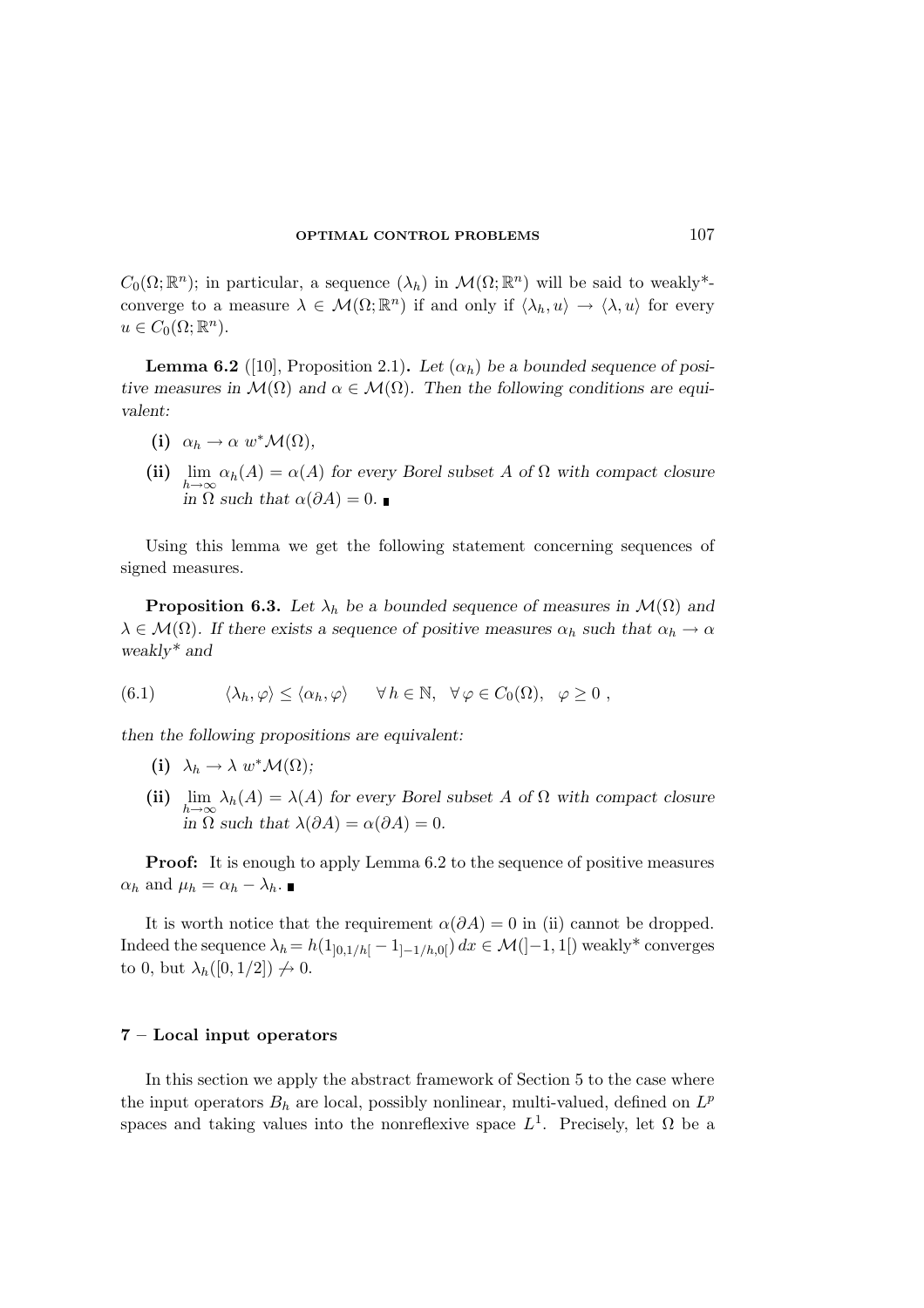$C_0(\Omega;\mathbb{R}^n)$ ; in particular, a sequence  $(\lambda_h)$  in  $\mathcal{M}(\Omega;\mathbb{R}^n)$  will be said to weakly\*converge to a measure  $\lambda \in \mathcal{M}(\Omega;\mathbb{R}^n)$  if and only if  $\langle \lambda_h, u \rangle \to \langle \lambda, u \rangle$  for every  $u \in C_0(\Omega; \mathbb{R}^n)$ .

**Lemma 6.2** ([10], Proposition 2.1). Let  $(\alpha_h)$  be a bounded sequence of positive measures in  $\mathcal{M}(\Omega)$  and  $\alpha \in \mathcal{M}(\Omega)$ . Then the following conditions are equivalent:

- (i)  $\alpha_h \to \alpha \ w^* \mathcal{M}(\Omega),$
- (ii)  $\lim_{h\to\infty} \alpha_h(A) = \alpha(A)$  for every Borel subset A of  $\Omega$  with compact closure in  $\Omega$  such that  $\alpha(\partial A) = 0$ .

Using this lemma we get the following statement concerning sequences of signed measures.

**Proposition 6.3.** Let  $\lambda_h$  be a bounded sequence of measures in  $\mathcal{M}(\Omega)$  and  $\lambda \in \mathcal{M}(\Omega)$ . If there exists a sequence of positive measures  $\alpha_h$  such that  $\alpha_h \to \alpha$ weakly\* and

(6.1) 
$$
\langle \lambda_h, \varphi \rangle \leq \langle \alpha_h, \varphi \rangle \quad \forall \, h \in \mathbb{N}, \ \forall \, \varphi \in C_0(\Omega), \ \varphi \geq 0 ,
$$

then the following propositions are equivalent:

- (i)  $\lambda_h \to \lambda \ w^* \mathcal{M}(\Omega);$
- (ii)  $\lim_{h\to\infty} \lambda_h(A) = \lambda(A)$  for every Borel subset A of  $\Omega$  with compact closure in  $\Omega$  such that  $\lambda(\partial A) = \alpha(\partial A) = 0$ .

**Proof:** It is enough to apply Lemma 6.2 to the sequence of positive measures  $\alpha_h$  and  $\mu_h = \alpha_h - \lambda_h$ .

It is worth notice that the requirement  $\alpha(\partial A) = 0$  in (ii) cannot be dropped. Indeed the sequence  $\lambda_h = h(1_{0,1/h}[-1_{-1/h,0[}) dx \in \mathcal{M}([-1,1])$  weakly\* converges to 0, but  $\lambda_h([0, 1/2]) \nrightarrow 0$ .

# 7 – Local input operators

In this section we apply the abstract framework of Section 5 to the case where the input operators  $B_h$  are local, possibly nonlinear, multi-valued, defined on  $L^p$ spaces and taking values into the nonreflexive space  $L^1$ . Precisely, let  $\Omega$  be a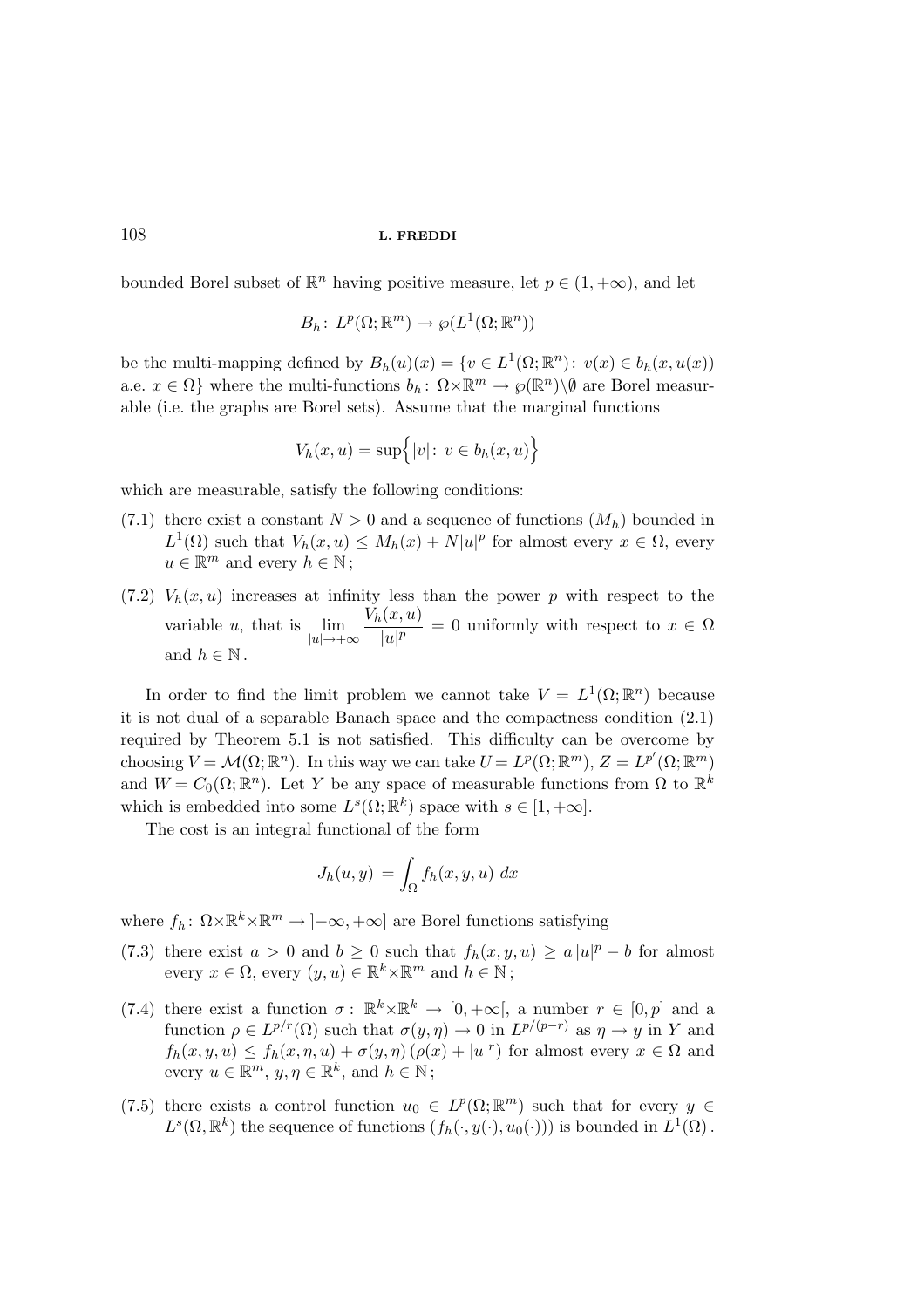bounded Borel subset of  $\mathbb{R}^n$  having positive measure, let  $p \in (1, +\infty)$ , and let

$$
B_h\colon L^p(\Omega;\mathbb{R}^m)\to \wp(L^1(\Omega;\mathbb{R}^n))
$$

be the multi-mapping defined by  $B_h(u)(x) = \{v \in L^1(\Omega; \mathbb{R}^n) : v(x) \in b_h(x, u(x))\}$ a.e.  $x \in \Omega$  where the multi-functions  $b_h: \ \Omega \times \mathbb{R}^m \to \wp(\mathbb{R}^n) \setminus \emptyset$  are Borel measurable (i.e. the graphs are Borel sets). Assume that the marginal functions

$$
V_h(x, u) = \sup\{|v|: v \in b_h(x, u)\}
$$

which are measurable, satisfy the following conditions:

- (7.1) there exist a constant  $N > 0$  and a sequence of functions  $(M_h)$  bounded in  $L^1(\Omega)$  such that  $V_h(x, u) \leq M_h(x) + N|u|^p$  for almost every  $x \in \Omega$ , every  $u \in \mathbb{R}^m$  and every  $h \in \mathbb{N}$ ;
- (7.2)  $V_h(x, u)$  increases at infinity less than the power p with respect to the variable *u*, that is  $\lim_{|u| \to +\infty}$  $V_h(x,u)$  $\frac{u(x, y)}{|u|^p} = 0$  uniformly with respect to  $x \in \Omega$ and  $h \in \mathbb{N}$ .

In order to find the limit problem we cannot take  $V = L^{1}(\Omega; \mathbb{R}^{n})$  because it is not dual of a separable Banach space and the compactness condition (2.1) required by Theorem 5.1 is not satisfied. This difficulty can be overcome by choosing  $V = \mathcal{M}(\Omega; \mathbb{R}^n)$ . In this way we can take  $U = L^p(\Omega; \mathbb{R}^m)$ ,  $Z = L^{p'}(\Omega; \mathbb{R}^m)$ and  $W = C_0(\Omega; \mathbb{R}^n)$ . Let Y be any space of measurable functions from  $\Omega$  to  $\mathbb{R}^k$ which is embedded into some  $L^s(\Omega; \mathbb{R}^k)$  space with  $s \in [1, +\infty]$ .

The cost is an integral functional of the form

$$
J_h(u, y) = \int_{\Omega} f_h(x, y, u) \, dx
$$

where  $f_h: \Omega \times \mathbb{R}^k \times \mathbb{R}^m \to ]-\infty, +\infty]$  are Borel functions satisfying

- (7.3) there exist  $a > 0$  and  $b \ge 0$  such that  $f_h(x, y, u) \ge a |u|^p b$  for almost every  $x \in \Omega$ , every  $(y, u) \in \mathbb{R}^k \times \mathbb{R}^m$  and  $h \in \mathbb{N}$ ;
- (7.4) there exist a function  $\sigma: \mathbb{R}^k \times \mathbb{R}^k \to [0, +\infty[$ , a number  $r \in [0, p]$  and a function  $\rho \in L^{p/r}(\Omega)$  such that  $\sigma(y, \eta) \to 0$  in  $L^{p/(p-r)}$  as  $\eta \to y$  in Y and  $f_h(x, y, u) \le f_h(x, \eta, u) + \sigma(y, \eta) (\rho(x) + |u|^r)$  for almost every  $x \in \Omega$  and every  $u \in \mathbb{R}^m$ ,  $y, \eta \in \mathbb{R}^k$ , and  $h \in \mathbb{N}$ ;
- (7.5) there exists a control function  $u_0 \in L^p(\Omega;\mathbb{R}^m)$  such that for every  $y \in$  $L^s(\Omega,\mathbb{R}^k)$  the sequence of functions  $(f_h(\cdot,y(\cdot),u_0(\cdot)))$  is bounded in  $L^1(\Omega)$ .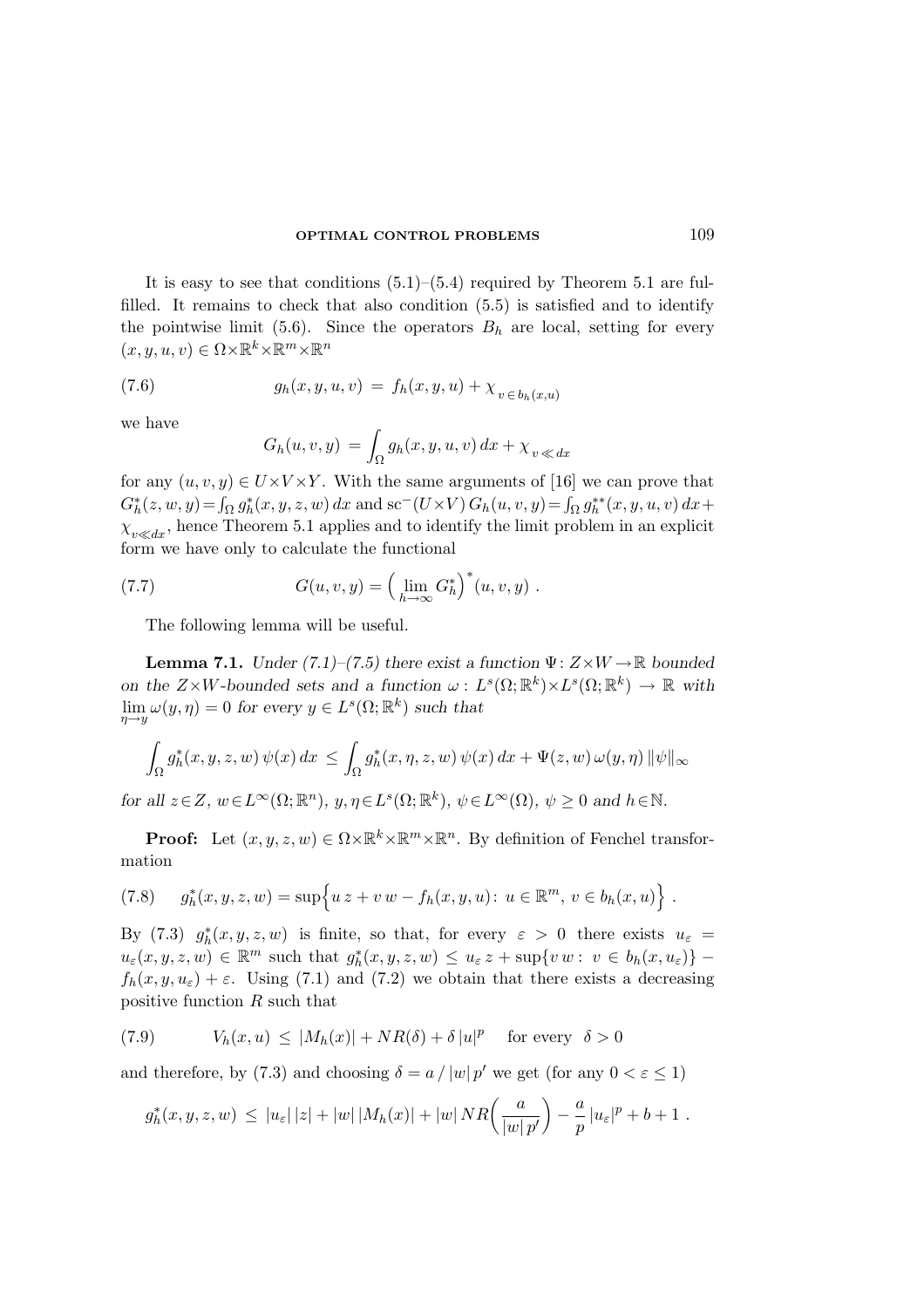It is easy to see that conditions  $(5.1)$ – $(5.4)$  required by Theorem 5.1 are fulfilled. It remains to check that also condition (5.5) is satisfied and to identify the pointwise limit (5.6). Since the operators  $B_h$  are local, setting for every  $(x, y, u, v) \in \Omega \times \mathbb{R}^k \times \mathbb{R}^m \times \mathbb{R}^n$ 

(7.6) 
$$
g_h(x, y, u, v) = f_h(x, y, u) + \chi_{v \in b_h(x, u)}
$$

we have

$$
G_h(u, v, y) = \int_{\Omega} g_h(x, y, u, v) dx + \chi_{v \ll dx}
$$

for any  $(u, v, y) \in U \times V \times Y$ . With the same arguments of [16] we can prove that  $G_h^*(z, w, y) = \int_{\Omega} g_h^*(x, y, z, w) dx$  and sc<sup>-</sup>(U×V)  $G_h(u, v, y) = \int_{\Omega} g_h^{**}(x, y, u, v) dx +$  $\chi_{v\ll dx}$ , hence Theorem 5.1 applies and to identify the limit problem in an explicit form we have only to calculate the functional

(7.7) 
$$
G(u, v, y) = \left(\lim_{h \to \infty} G_h^*\right)^*(u, v, y) .
$$

The following lemma will be useful.

**Lemma 7.1.** Under (7.1)–(7.5) there exist a function  $\Psi: Z \times W \to \mathbb{R}$  bounded on the  $Z \times W$ -bounded sets and a function  $\omega : L^s(\Omega; \mathbb{R}^k) \times L^s(\Omega; \mathbb{R}^k) \to \mathbb{R}$  with  $\lim_{\eta \to y} \omega(y, \eta) = 0$  for every  $y \in L^s(\Omega; \mathbb{R}^k)$  such that

$$
\int_{\Omega} g_h^*(x, y, z, w) \psi(x) dx \le \int_{\Omega} g_h^*(x, \eta, z, w) \psi(x) dx + \Psi(z, w) \omega(y, \eta) \|\psi\|_{\infty}
$$

for all  $z \in Z$ ,  $w \in L^{\infty}(\Omega; \mathbb{R}^n)$ ,  $y, \eta \in L^s(\Omega; \mathbb{R}^k)$ ,  $\psi \in L^{\infty}(\Omega)$ ,  $\psi \ge 0$  and  $h \in \mathbb{N}$ .

**Proof:** Let  $(x, y, z, w) \in \Omega \times \mathbb{R}^k \times \mathbb{R}^m \times \mathbb{R}^n$ . By definition of Fenchel transformation

(7.8) 
$$
g_h^*(x, y, z, w) = \sup \{ u z + v w - f_h(x, y, u) : u \in \mathbb{R}^m, v \in b_h(x, u) \}.
$$

By (7.3)  $g_h^*(x, y, z, w)$  is finite, so that, for every  $\varepsilon > 0$  there exists  $u_{\varepsilon} =$  $u_{\varepsilon}(x, y, z, w) \in \mathbb{R}^m$  such that  $g_h^*(x, y, z, w) \leq u_{\varepsilon} z + \sup\{v \, w : \, v \in b_h(x, u_{\varepsilon})\}\$  $f_h(x, y, u_\varepsilon) + \varepsilon$ . Using (7.1) and (7.2) we obtain that there exists a decreasing positive function R such that

(7.9) 
$$
V_h(x, u) \le |M_h(x)| + NR(\delta) + \delta |u|^p \quad \text{for every} \quad \delta > 0
$$

and therefore, by (7.3) and choosing  $\delta = a / |w| p'$  we get (for any  $0 < \varepsilon \le 1$ )

$$
g_h^*(x, y, z, w) \leq |u_{\varepsilon}| |z| + |w| |M_h(x)| + |w| N R\left(\frac{a}{|w|p'}\right) - \frac{a}{p} |u_{\varepsilon}|^p + b + 1.
$$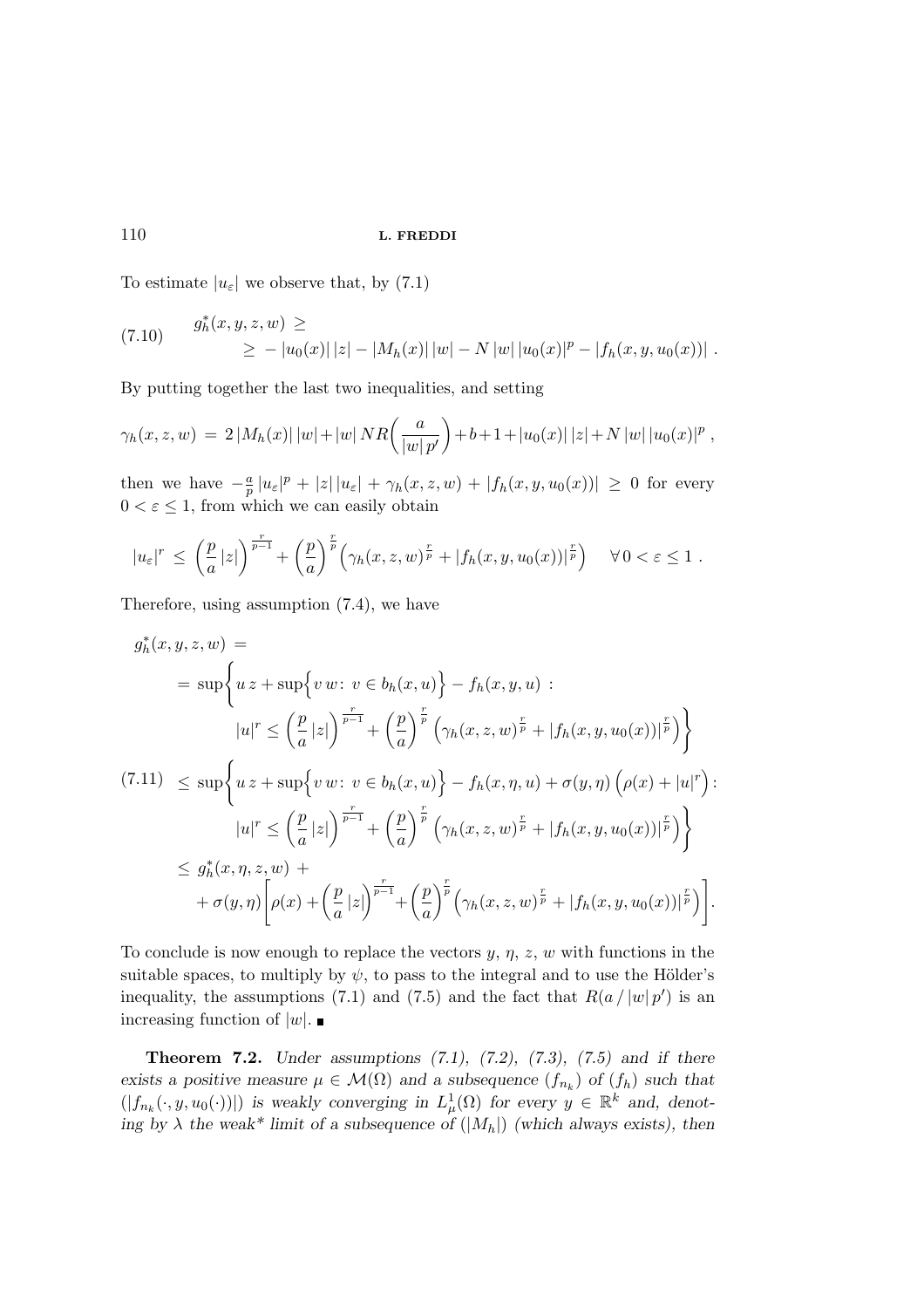To estimate  $|u_{\varepsilon}|$  we observe that, by (7.1)

$$
(7.10) \quad g_h^*(x, y, z, w) \ge
$$
  
 
$$
\ge -|u_0(x)| |z| - |M_h(x)| |w| - N |w| |u_0(x)|^p - |f_h(x, y, u_0(x))| .
$$

By putting together the last two inequalities, and setting

$$
\gamma_h(x, z, w) = 2 |M_h(x)| |w| + |w| NR\left(\frac{a}{|w|p'}\right) + b + 1 + |u_0(x)| |z| + N |w| |u_0(x)|^p,
$$

then we have  $-\frac{a}{p}$  $\frac{a}{p} |u_{\varepsilon}|^p + |z| |u_{\varepsilon}| + \gamma_h(x, z, w) + |f_h(x, y, u_0(x))| \geq 0$  for every  $0<\varepsilon\leq 1,$  from which we can easily obtain

$$
|u_{\varepsilon}|^r \leq \left(\frac{p}{a}|z|\right)^{\frac{r}{p-1}} + \left(\frac{p}{a}\right)^{\frac{r}{p}} \left(\gamma_h(x,z,w)^{\frac{r}{p}} + |f_h(x,y,u_0(x))|^{\frac{r}{p}}\right) \quad \forall \, 0 < \varepsilon \leq 1 \; .
$$

Therefore, using assumption (7.4), we have

$$
g_h^*(x, y, z, w) =
$$
  
\n
$$
= \sup \left\{ u \, z + \sup \{ v \, w : \, v \in b_h(x, u) \} - f_h(x, y, u) : \right\}
$$
  
\n
$$
|u|^r \le \left( \frac{p}{a} |z| \right)^{\frac{r}{p-1}} + \left( \frac{p}{a} \right)^{\frac{r}{p}} \left( \gamma_h(x, z, w)^{\frac{r}{p}} + |f_h(x, y, u_0(x))|^{\frac{r}{p}} \right) \right\}
$$
  
\n(7.11) 
$$
\le \sup \left\{ u \, z + \sup \{ v \, w : \, v \in b_h(x, u) \} - f_h(x, \eta, u) + \sigma(y, \eta) \left( \rho(x) + |u|^r \right) : \right\}
$$
  
\n
$$
|u|^r \le \left( \frac{p}{a} |z| \right)^{\frac{r}{p-1}} + \left( \frac{p}{a} \right)^{\frac{r}{p}} \left( \gamma_h(x, z, w)^{\frac{r}{p}} + |f_h(x, y, u_0(x))|^{\frac{r}{p}} \right) \right\}
$$
  
\n
$$
\le g_h^*(x, \eta, z, w) +
$$
  
\n
$$
+ \sigma(y, \eta) \left[ \rho(x) + \left( \frac{p}{a} |z| \right)^{\frac{r}{p-1}} + \left( \frac{p}{a} \right)^{\frac{r}{p}} \left( \gamma_h(x, z, w)^{\frac{r}{p}} + |f_h(x, y, u_0(x))|^{\frac{r}{p}} \right) \right].
$$

To conclude is now enough to replace the vectors  $y, \eta, z, w$  with functions in the suitable spaces, to multiply by  $\psi$ , to pass to the integral and to use the Hölder's inequality, the assumptions (7.1) and (7.5) and the fact that  $R(a / |w| p')$  is an increasing function of  $|w|$ .

**Theorem 7.2.** Under assumptions  $(7.1)$ ,  $(7.2)$ ,  $(7.3)$ ,  $(7.5)$  and if there exists a positive measure  $\mu \in \mathcal{M}(\Omega)$  and a subsequence  $(f_{n_k})$  of  $(f_h)$  such that  $(|f_{n_k}(\cdot, y, u_0(\cdot))|)$  is weakly converging in  $L^1_\mu(\Omega)$  for every  $y \in \mathbb{R}^k$  and, denoting by  $\lambda$  the weak\* limit of a subsequence of  $(|M_h|)$  (which always exists), then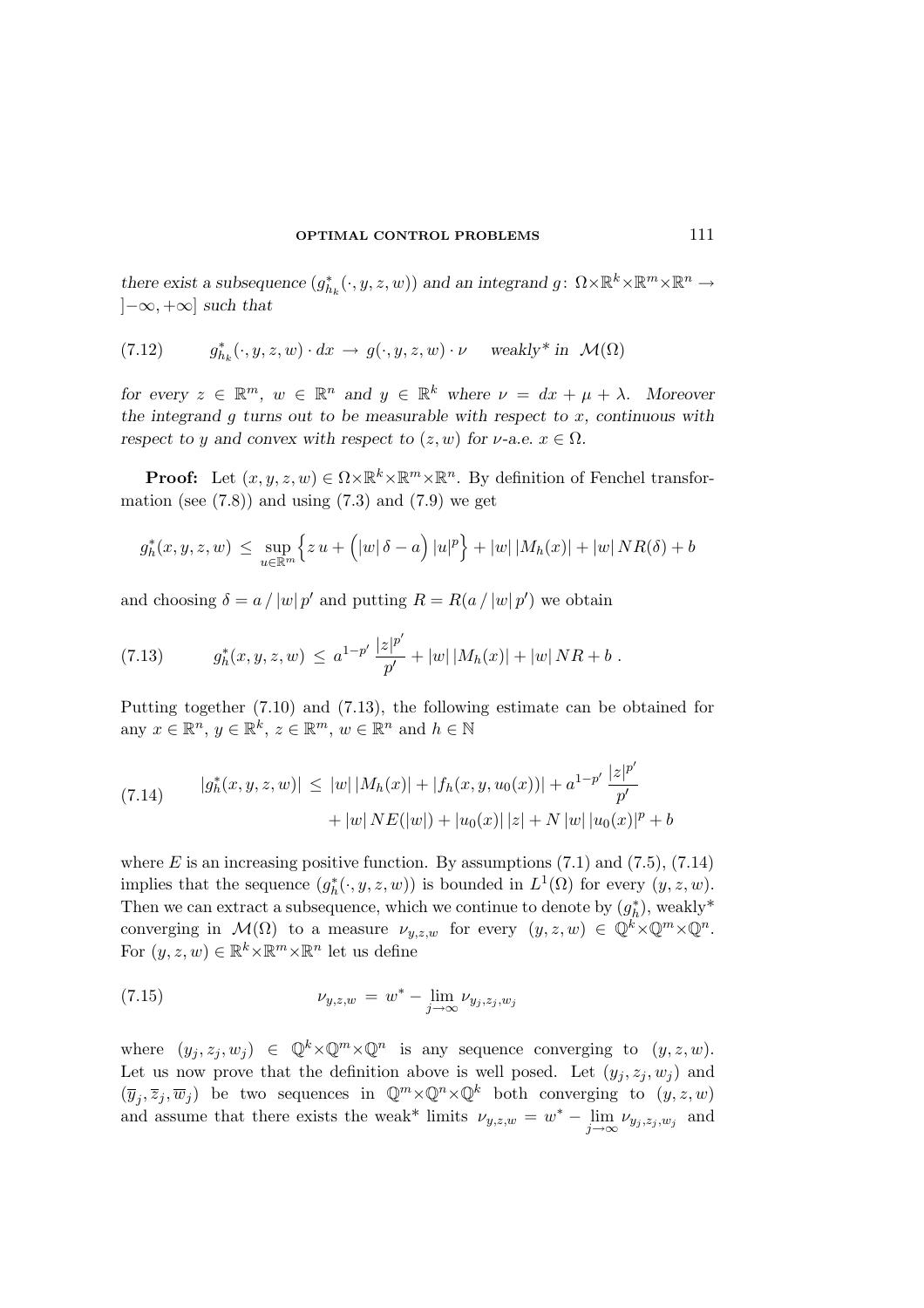there exist a subsequence  $(g_{h_k}^*(\cdot, y, z, w))$  and an integrand  $g: \Omega \times \mathbb{R}^k \times \mathbb{R}^m \times \mathbb{R}^n \to$  $[-\infty, +\infty]$  such that

(7.12) 
$$
g_{h_k}^*(\cdot, y, z, w) \cdot dx \to g(\cdot, y, z, w) \cdot \nu \quad \text{ weakly* in } \mathcal{M}(\Omega)
$$

for every  $z \in \mathbb{R}^m$ ,  $w \in \mathbb{R}^n$  and  $y \in \mathbb{R}^k$  where  $\nu = dx + \mu + \lambda$ . Moreover the integrand  $q$  turns out to be measurable with respect to  $x$ , continuous with respect to y and convex with respect to  $(z, w)$  for  $\nu$ -a.e.  $x \in \Omega$ .

**Proof:** Let  $(x, y, z, w) \in \Omega \times \mathbb{R}^k \times \mathbb{R}^m \times \mathbb{R}^n$ . By definition of Fenchel transformation (see  $(7.8)$ ) and using  $(7.3)$  and  $(7.9)$  we get

$$
g_h^*(x, y, z, w) \le \sup_{u \in \mathbb{R}^m} \left\{ z u + \left( |w| \, \delta - a \right) |u|^p \right\} + |w| |M_h(x)| + |w| N R(\delta) + b
$$

and choosing  $\delta = a / |w| p'$  and putting  $R = R(a / |w| p')$  we obtain

(7.13) 
$$
g_h^*(x, y, z, w) \leq a^{1-p'} \frac{|z|^{p'}}{p'} + |w| |M_h(x)| + |w| N R + b.
$$

Putting together (7.10) and (7.13), the following estimate can be obtained for any  $x \in \mathbb{R}^n$ ,  $y \in \mathbb{R}^k$ ,  $z \in \mathbb{R}^m$ ,  $w \in \mathbb{R}^n$  and  $h \in \mathbb{N}$ 

(7.14) 
$$
|g_h^*(x, y, z, w)| \le |w| |M_h(x)| + |f_h(x, y, u_0(x))| + a^{1-p'} \frac{|z|^{p'}}{p'} + |w| N E(|w|) + |u_0(x)| |z| + N |w| |u_0(x)|^p + b
$$

where  $E$  is an increasing positive function. By assumptions  $(7.1)$  and  $(7.5)$ ,  $(7.14)$ implies that the sequence  $(g_h^*(\cdot, y, z, w))$  is bounded in  $L^1(\Omega)$  for every  $(y, z, w)$ . Then we can extract a subsequence, which we continue to denote by  $(g_h^* )$ , weakly<sup>\*</sup> converging in  $\mathcal{M}(\Omega)$  to a measure  $\nu_{y,z,w}$  for every  $(y, z, w) \in \mathbb{Q}^k \times \mathbb{Q}^m \times \mathbb{Q}^n$ . For  $(y, z, w) \in \mathbb{R}^k \times \mathbb{R}^m \times \mathbb{R}^n$  let us define

(7.15) 
$$
\nu_{y,z,w} = w^* - \lim_{j \to \infty} \nu_{y_j, z_j, w_j}
$$

where  $(y_j, z_j, w_j) \in \mathbb{Q}^k \times \mathbb{Q}^m \times \mathbb{Q}^n$  is any sequence converging to  $(y, z, w)$ . Let us now prove that the definition above is well posed. Let  $(y_i, z_i, w_i)$  and  $(\overline{y}_j, \overline{z}_j, \overline{w}_j)$  be two sequences in  $\mathbb{Q}^m \times \mathbb{Q}^n \times \mathbb{Q}^k$  both converging to  $(y, z, w)$ and assume that there exists the weak<sup>\*</sup> limits  $\nu_{y,z,w} = w^* - \lim_{j \to \infty} \nu_{y_j,z_j,w_j}$  and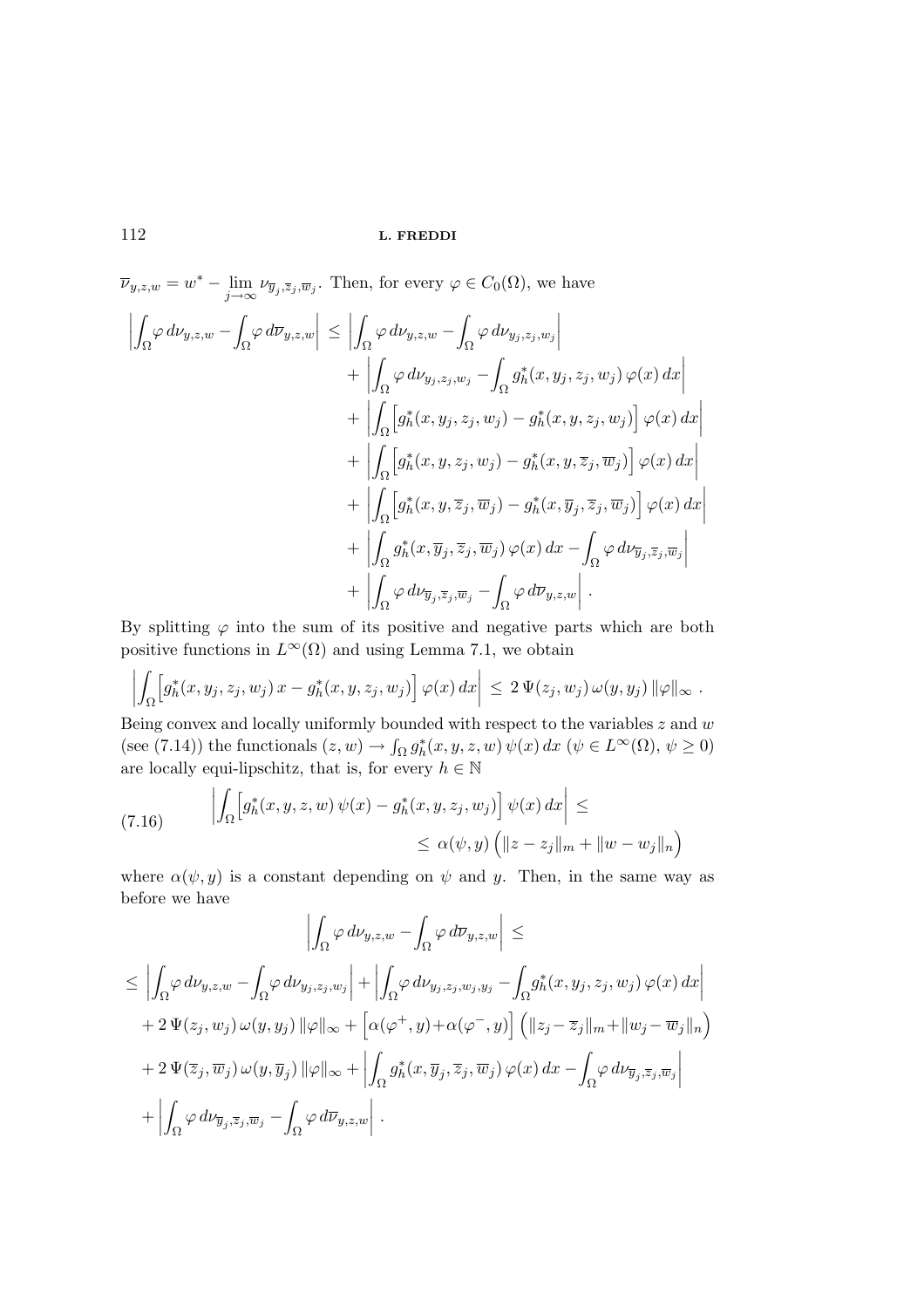$\overline{\nu}_{y,z,w} = w^* - \lim_{j \to \infty} \nu_{\overline{y}_j,\overline{z}_j,\overline{w}_j}$ . Then, for every  $\varphi \in C_0(\Omega)$ , we have

$$
\left| \int_{\Omega} \varphi \, d\nu_{y,z,w} - \int_{\Omega} \varphi \, d\overline{\nu}_{y,z,w} \right| \leq \left| \int_{\Omega} \varphi \, d\nu_{y,z,w} - \int_{\Omega} \varphi \, d\nu_{y_j,z_j,w_j} \right| \n+ \left| \int_{\Omega} \varphi \, d\nu_{y_j,z_j,w_j} - \int_{\Omega} g_h^*(x, y_j, z_j, w_j) \, \varphi(x) \, dx \right| \n+ \left| \int_{\Omega} \left[ g_h^*(x, y_j, z_j, w_j) - g_h^*(x, y, z_j, w_j) \right] \varphi(x) \, dx \right| \n+ \left| \int_{\Omega} \left[ g_h^*(x, y, z_j, w_j) - g_h^*(x, y, \overline{z}_j, \overline{w}_j) \right] \varphi(x) \, dx \right| \n+ \left| \int_{\Omega} \left[ g_h^*(x, y, \overline{z}_j, \overline{w}_j) - g_h^*(x, \overline{y}_j, \overline{z}_j, \overline{w}_j) \right] \varphi(x) \, dx \right| \n+ \left| \int_{\Omega} g_h^*(x, \overline{y}_j, \overline{z}_j, \overline{w}_j) \, \varphi(x) \, dx - \int_{\Omega} \varphi \, d\nu_{\overline{y}_j, \overline{z}_j, \overline{w}_j} \right| \n+ \left| \int_{\Omega} \varphi \, d\nu_{\overline{y}_j, \overline{z}_j, \overline{w}_j} - \int_{\Omega} \varphi \, d\overline{\nu}_{y,z,w} \right|.
$$

By splitting  $\varphi$  into the sum of its positive and negative parts which are both positive functions in  $L^{\infty}(\Omega)$  and using Lemma 7.1, we obtain

$$
\left|\int_{\Omega}\Big[g_h^*(x,y_j,z_j,w_j)\,x-g_h^*(x,y,z_j,w_j)\Big]\,\varphi(x)\,dx\right| \,\leq\, 2\,\Psi(z_j,w_j)\,\omega(y,y_j)\,\|\varphi\|_{\infty}\;.
$$

Being convex and locally uniformly bounded with respect to the variables  $z$  and  $w$ (see (7.14)) the functionals  $(z, w) \to \int_{\Omega} g_h^*(x, y, z, w) \psi(x) dx$  ( $\psi \in L^{\infty}(\Omega)$ ,  $\psi \ge 0$ ) are locally equi-lipschitz, that is, for every  $h\in\mathbb{N}$ 

(7.16) 
$$
\left| \int_{\Omega} \left[ g_h^*(x, y, z, w) \psi(x) - g_h^*(x, y, z_j, w_j) \right] \psi(x) dx \right| \leq
$$
  
 
$$
\leq \alpha(\psi, y) \left( \|z - z_j\|_m + \|w - w_j\|_n \right)
$$

where  $\alpha(\psi, y)$  is a constant depending on  $\psi$  and y. Then, in the same way as before we have

$$
\left| \int_{\Omega} \varphi \, d\nu_{y,z,w} - \int_{\Omega} \varphi \, d\overline{\nu}_{y,z,w} \right| \le
$$
  
\n
$$
\leq \left| \int_{\Omega} \varphi \, d\nu_{y,z,w} - \int_{\Omega} \varphi \, d\nu_{y_j,z_j,w_j} \right| + \left| \int_{\Omega} \varphi \, d\nu_{y_j,z_j,w_j,y_j} - \int_{\Omega} g_h^*(x, y_j, z_j, w_j) \, \varphi(x) \, dx \right|
$$
  
\n
$$
+ 2 \, \Psi(z_j, w_j) \, \omega(y, y_j) \, \|\varphi\|_{\infty} + \left[ \alpha(\varphi^+, y) + \alpha(\varphi^-, y) \right] \left( \|z_j - \overline{z}_j\|_m + \|w_j - \overline{w}_j\|_n \right)
$$
  
\n
$$
+ 2 \, \Psi(\overline{z}_j, \overline{w}_j) \, \omega(y, \overline{y}_j) \, \|\varphi\|_{\infty} + \left| \int_{\Omega} g_h^*(x, \overline{y}_j, \overline{z}_j, \overline{w}_j) \, \varphi(x) \, dx - \int_{\Omega} \varphi \, d\nu_{\overline{y}_j, \overline{z}_j, \overline{w}_j} \right|
$$
  
\n
$$
+ \left| \int_{\Omega} \varphi \, d\nu_{\overline{y}_j, \overline{z}_j, \overline{w}_j} - \int_{\Omega} \varphi \, d\overline{\nu}_{y,z,w} \right|.
$$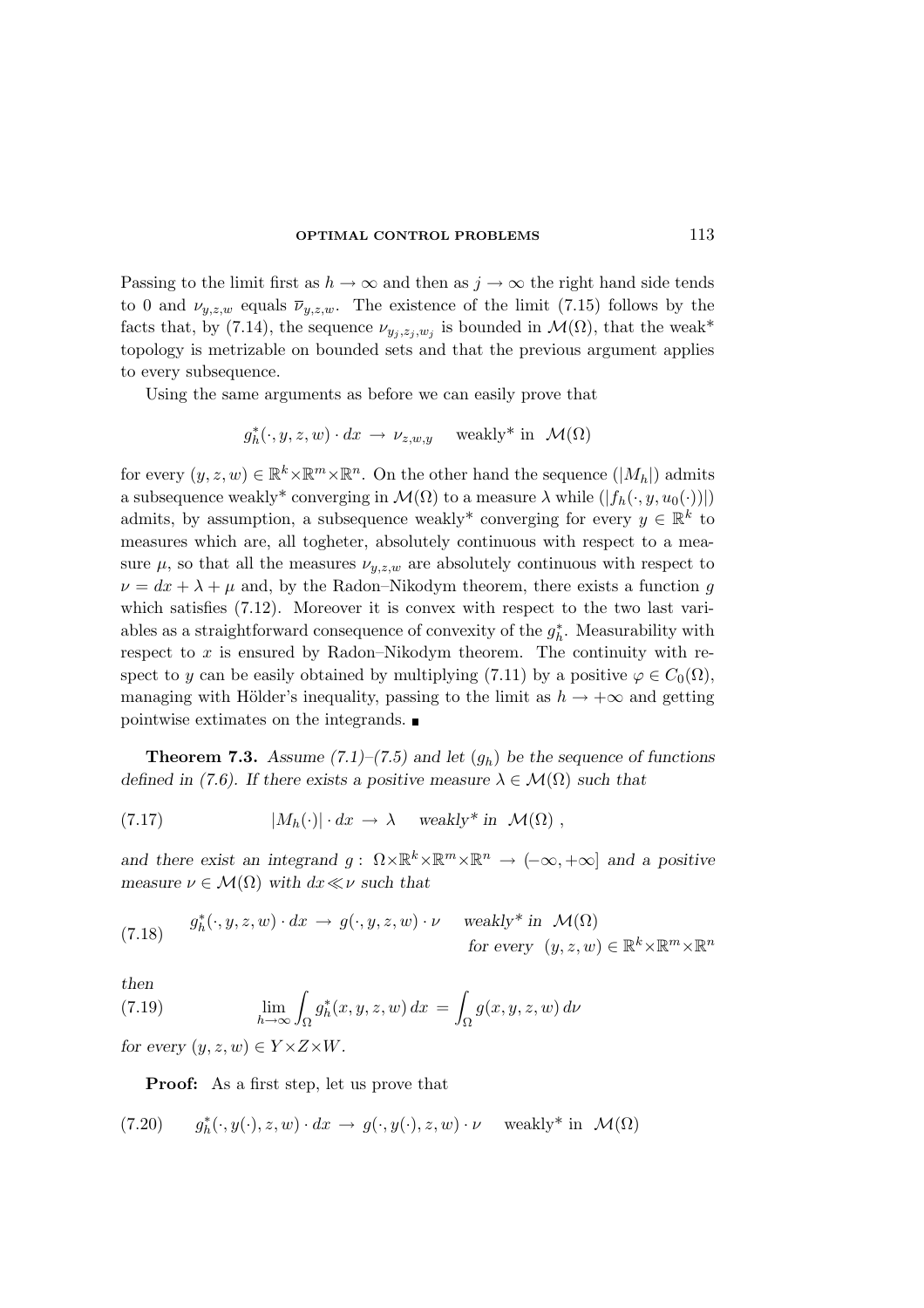Passing to the limit first as  $h \to \infty$  and then as  $j \to \infty$  the right hand side tends to 0 and  $\nu_{y,z,w}$  equals  $\overline{\nu}_{y,z,w}$ . The existence of the limit (7.15) follows by the facts that, by (7.14), the sequence  $\nu_{y_j,z_j,w_j}$  is bounded in  $\mathcal{M}(\Omega)$ , that the weak\* topology is metrizable on bounded sets and that the previous argument applies to every subsequence.

Using the same arguments as before we can easily prove that

$$
g_h^*(\cdot, y, z, w) \cdot dx \to \nu_{z,w,y}
$$
 weakly\* in  $\mathcal{M}(\Omega)$ 

for every  $(y, z, w) \in \mathbb{R}^k \times \mathbb{R}^m \times \mathbb{R}^n$ . On the other hand the sequence  $(|M_h|)$  admits a subsequence weakly<sup>\*</sup> converging in  $\mathcal{M}(\Omega)$  to a measure  $\lambda$  while  $(|f_h(\cdot, y, u_0(\cdot))|)$ admits, by assumption, a subsequence weakly<sup>\*</sup> converging for every  $y \in \mathbb{R}^k$  to measures which are, all togheter, absolutely continuous with respect to a measure  $\mu$ , so that all the measures  $\nu_{u,z,w}$  are absolutely continuous with respect to  $\nu = dx + \lambda + \mu$  and, by the Radon–Nikodym theorem, there exists a function g which satisfies  $(7.12)$ . Moreover it is convex with respect to the two last variables as a straightforward consequence of convexity of the  $g_h^*$ . Measurability with respect to  $x$  is ensured by Radon–Nikodym theorem. The continuity with respect to y can be easily obtained by multiplying (7.11) by a positive  $\varphi \in C_0(\Omega)$ , managing with Hölder's inequality, passing to the limit as  $h \to +\infty$  and getting pointwise extimates on the integrands.

**Theorem 7.3.** Assume (7.1)–(7.5) and let  $(q_h)$  be the sequence of functions defined in (7.6). If there exists a positive measure  $\lambda \in \mathcal{M}(\Omega)$  such that

(7.17) 
$$
|M_h(\cdot)| \cdot dx \to \lambda \quad \text{weakly* in } \mathcal{M}(\Omega) ,
$$

and there exist an integrand  $g: \Omega \times \mathbb{R}^k \times \mathbb{R}^m \times \mathbb{R}^n \to (-\infty, +\infty]$  and a positive measure  $\nu \in \mathcal{M}(\Omega)$  with  $dx \ll \nu$  such that

(7.18) 
$$
g_h^*(\cdot, y, z, w) \cdot dx \to g(\cdot, y, z, w) \cdot \nu \quad \text{weakly* in } \mathcal{M}(\Omega)
$$
  
for every  $(y, z, w) \in \mathbb{R}^k \times \mathbb{R}^m \times \mathbb{R}^n$ 

then

(7.19) 
$$
\lim_{h \to \infty} \int_{\Omega} g_h^*(x, y, z, w) dx = \int_{\Omega} g(x, y, z, w) dv
$$

for every  $(y, z, w) \in Y \times Z \times W$ .

Proof: As a first step, let us prove that

(7.20) 
$$
g_h^*(\cdot, y(\cdot), z, w) \cdot dx \to g(\cdot, y(\cdot), z, w) \cdot \nu
$$
 weakly\* in  $\mathcal{M}(\Omega)$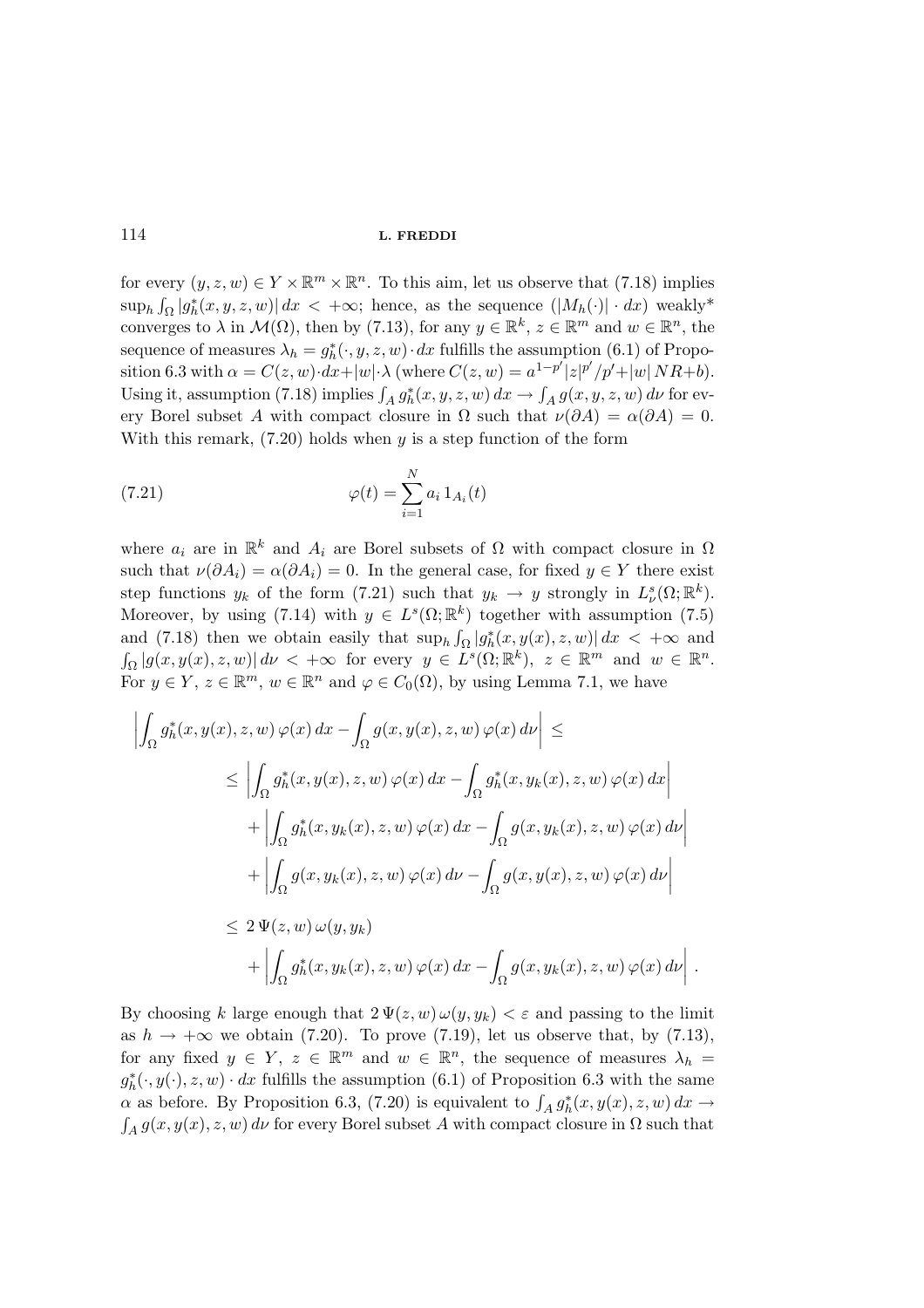for every  $(y, z, w) \in Y \times \mathbb{R}^m \times \mathbb{R}^n$ . To this aim, let us observe that (7.18) implies  $\sup_h \int_{\Omega} |g_h^*(x, y, z, w)| dx < +\infty$ ; hence, as the sequence  $(|M_h(\cdot)| \cdot dx)$  weakly\* converges to  $\lambda$  in  $\mathcal{M}(\Omega)$ , then by (7.13), for any  $y \in \mathbb{R}^k$ ,  $z \in \mathbb{R}^m$  and  $w \in \mathbb{R}^n$ , the sequence of measures  $\lambda_h = g_h^*(\cdot, y, z, w) \cdot dx$  fulfills the assumption (6.1) of Proposition 6.3 with  $\alpha = C(z, w) \cdot dx + |w| \cdot \lambda$  (where  $C(z, w) = a^{1-p'} |z|^{p'} / p' + |w| N R + b$ ). Using it, assumption (7.18) implies  $\int_A g_h^*(x, y, z, w) dx \to \int_A g(x, y, z, w) dv$  for every Borel subset A with compact closure in  $\Omega$  such that  $\nu(\partial A) = \alpha(\partial A) = 0$ . With this remark,  $(7.20)$  holds when y is a step function of the form

(7.21) 
$$
\varphi(t) = \sum_{i=1}^{N} a_i 1_{A_i}(t)
$$

where  $a_i$  are in  $\mathbb{R}^k$  and  $A_i$  are Borel subsets of  $\Omega$  with compact closure in  $\Omega$ such that  $\nu(\partial A_i) = \alpha(\partial A_i) = 0$ . In the general case, for fixed  $y \in Y$  there exist step functions  $y_k$  of the form (7.21) such that  $y_k \to y$  strongly in  $L^s_{\nu}(\Omega;\mathbb{R}^k)$ . Moreover, by using (7.14) with  $y \in L^{s}(\Omega;\mathbb{R}^{k})$  together with assumption (7.5) and (7.18) then we obtain easily that  $\sup_h \int_{\Omega} |g_h^*(x, y(x), z, w)| dx < +\infty$  and  $\int_{\Omega} |g(x, y(x), z, w)| d\nu < +\infty$  for every  $y \in L^{s}(\Omega; \mathbb{R}^{k}), z \in \mathbb{R}^{m}$  and  $w \in \mathbb{R}^{n}$ . For  $y \in Y$ ,  $z \in \mathbb{R}^m$ ,  $w \in \mathbb{R}^n$  and  $\varphi \in C_0(\Omega)$ , by using Lemma 7.1, we have

$$
\left| \int_{\Omega} g_h^*(x, y(x), z, w) \varphi(x) dx - \int_{\Omega} g(x, y(x), z, w) \varphi(x) dv \right| \le
$$
  
\n
$$
\leq \left| \int_{\Omega} g_h^*(x, y(x), z, w) \varphi(x) dx - \int_{\Omega} g_h^*(x, y_k(x), z, w) \varphi(x) dx \right|
$$
  
\n
$$
+ \left| \int_{\Omega} g_h^*(x, y_k(x), z, w) \varphi(x) dx - \int_{\Omega} g(x, y_k(x), z, w) \varphi(x) dv \right|
$$
  
\n
$$
+ \left| \int_{\Omega} g(x, y_k(x), z, w) \varphi(x) dv - \int_{\Omega} g(x, y(x), z, w) \varphi(x) dv \right|
$$
  
\n
$$
\leq 2 \Psi(z, w) \omega(y, y_k)
$$
  
\n
$$
+ \left| \int_{\Omega} g_h^*(x, y_k(x), z, w) \varphi(x) dx - \int_{\Omega} g(x, y_k(x), z, w) \varphi(x) dv \right|.
$$

By choosing k large enough that  $2 \Psi(z, w) \omega(y, y_k) < \varepsilon$  and passing to the limit as  $h \to +\infty$  we obtain (7.20). To prove (7.19), let us observe that, by (7.13), for any fixed  $y \in Y$ ,  $z \in \mathbb{R}^m$  and  $w \in \mathbb{R}^n$ , the sequence of measures  $\lambda_h =$  $g_h^*(\cdot, y(\cdot), z, w) \cdot dx$  fulfills the assumption (6.1) of Proposition 6.3 with the same  $\alpha$  as before. By Proposition 6.3, (7.20) is equivalent to  $\int_A g_h^*(x, y(x), z, w) dx \rightarrow$ <br> $\int_A g(x, y(x), z, w) dv$  for every Borel subset A with compact closure in  $\Omega$  such that  $A_{A} g(x, y(x), z, w)$  dv for every Borel subset A with compact closure in  $\Omega$  such that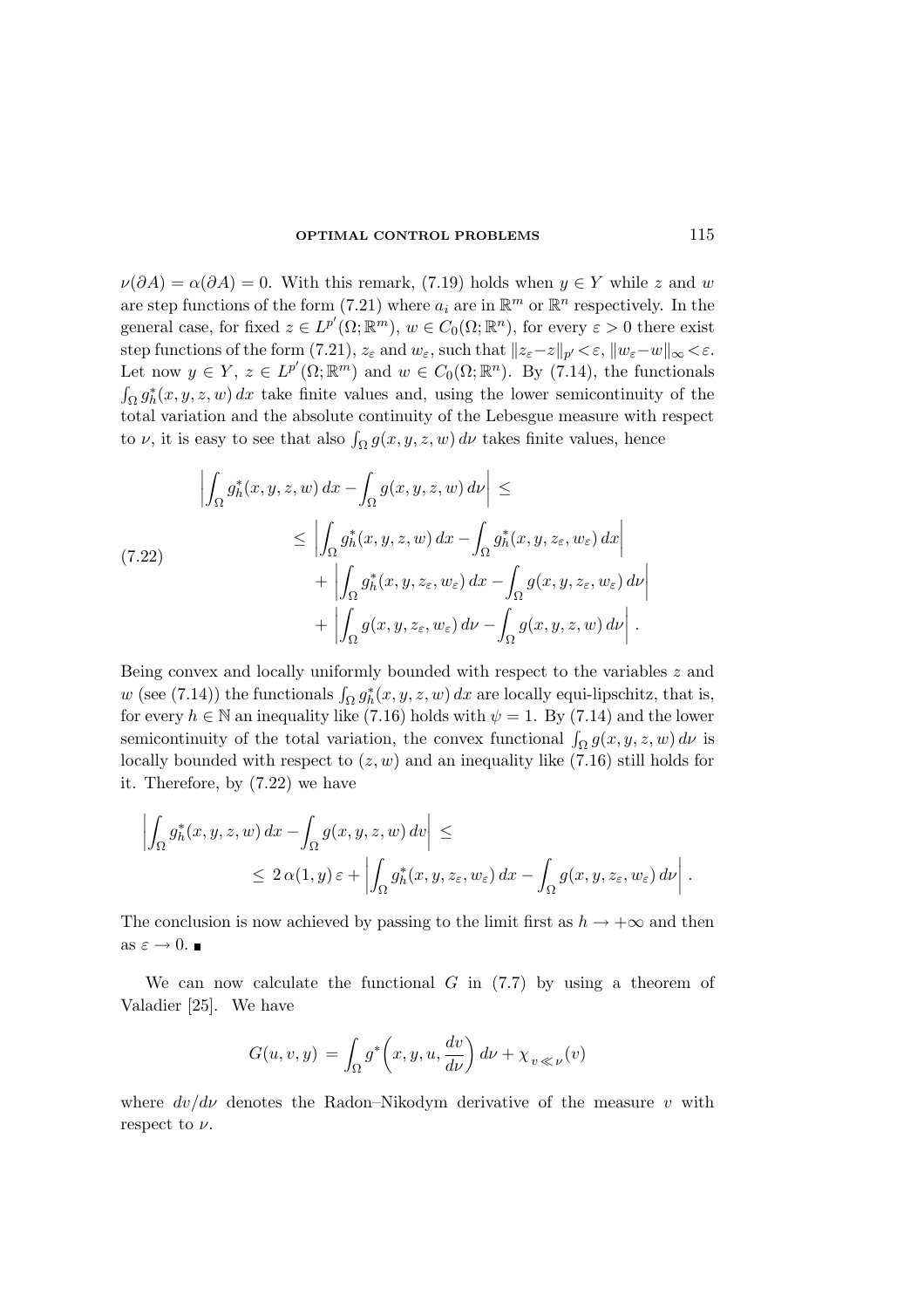$\nu(\partial A) = \alpha(\partial A) = 0$ . With this remark, (7.19) holds when  $y \in Y$  while z and w are step functions of the form (7.21) where  $a_i$  are in  $\mathbb{R}^m$  or  $\mathbb{R}^n$  respectively. In the general case, for fixed  $z \in L^{p'}(\Omega; \mathbb{R}^m)$ ,  $w \in C_0(\Omega; \mathbb{R}^n)$ , for every  $\varepsilon > 0$  there exist step functions of the form (7.21),  $z_{\varepsilon}$  and  $w_{\varepsilon}$ , such that  $||z_{\varepsilon}-z||_{p'} < \varepsilon$ ,  $||w_{\varepsilon}-w||_{\infty} < \varepsilon$ . Let now  $y \in Y$ ,  $z \in L^{p'}(\Omega; \mathbb{R}^m)$  and  $w \in C_0(\Omega; \mathbb{R}^n)$ . By (7.14), the functionals  $\int_{\Omega} g_h^*(x, y, z, w) dx$  take finite values and, using the lower semicontinuity of the total variation and the absolute continuity of the Lebesgue measure with respect to  $\nu$ , it is easy to see that also  $\int_{\Omega} g(x, y, z, w) d\nu$  takes finite values, hence

$$
\left| \int_{\Omega} g_h^*(x, y, z, w) dx - \int_{\Omega} g(x, y, z, w) dv \right| \le
$$
\n
$$
\leq \left| \int_{\Omega} g_h^*(x, y, z, w) dx - \int_{\Omega} g_h^*(x, y, z_{\varepsilon}, w_{\varepsilon}) dx \right|
$$
\n
$$
+ \left| \int_{\Omega} g_h^*(x, y, z_{\varepsilon}, w_{\varepsilon}) dx - \int_{\Omega} g(x, y, z_{\varepsilon}, w_{\varepsilon}) dv \right|
$$
\n
$$
+ \left| \int_{\Omega} g(x, y, z_{\varepsilon}, w_{\varepsilon}) dv - \int_{\Omega} g(x, y, z, w) dv \right|.
$$

Being convex and locally uniformly bounded with respect to the variables z and w (see (7.14)) the functionals  $\int_{\Omega} g_h^*(x, y, z, w) dx$  are locally equi-lipschitz, that is, for every  $h \in \mathbb{N}$  an inequality like (7.16) holds with  $\psi = 1$ . By (7.14) and the lower semicontinuity of the total variation, the convex functional  $\int_{\Omega} g(x, y, z, w) d\nu$  is locally bounded with respect to  $(z, w)$  and an inequality like  $(7.16)$  still holds for it. Therefore, by (7.22) we have

$$
\left| \int_{\Omega} g_h^*(x, y, z, w) dx - \int_{\Omega} g(x, y, z, w) dv \right| \le
$$
  

$$
\leq 2 \alpha(1, y) \varepsilon + \left| \int_{\Omega} g_h^*(x, y, z_{\varepsilon}, w_{\varepsilon}) dx - \int_{\Omega} g(x, y, z_{\varepsilon}, w_{\varepsilon}) dv \right|.
$$

The conclusion is now achieved by passing to the limit first as  $h \to +\infty$  and then as  $\varepsilon \to 0$ .

We can now calculate the functional  $G$  in  $(7.7)$  by using a theorem of Valadier [25]. We have

$$
G(u, v, y) = \int_{\Omega} g^* \left( x, y, u, \frac{dv}{d\nu} \right) d\nu + \chi_{v \ll \nu}(v)
$$

where  $dv/d\nu$  denotes the Radon–Nikodym derivative of the measure v with respect to  $\nu$ .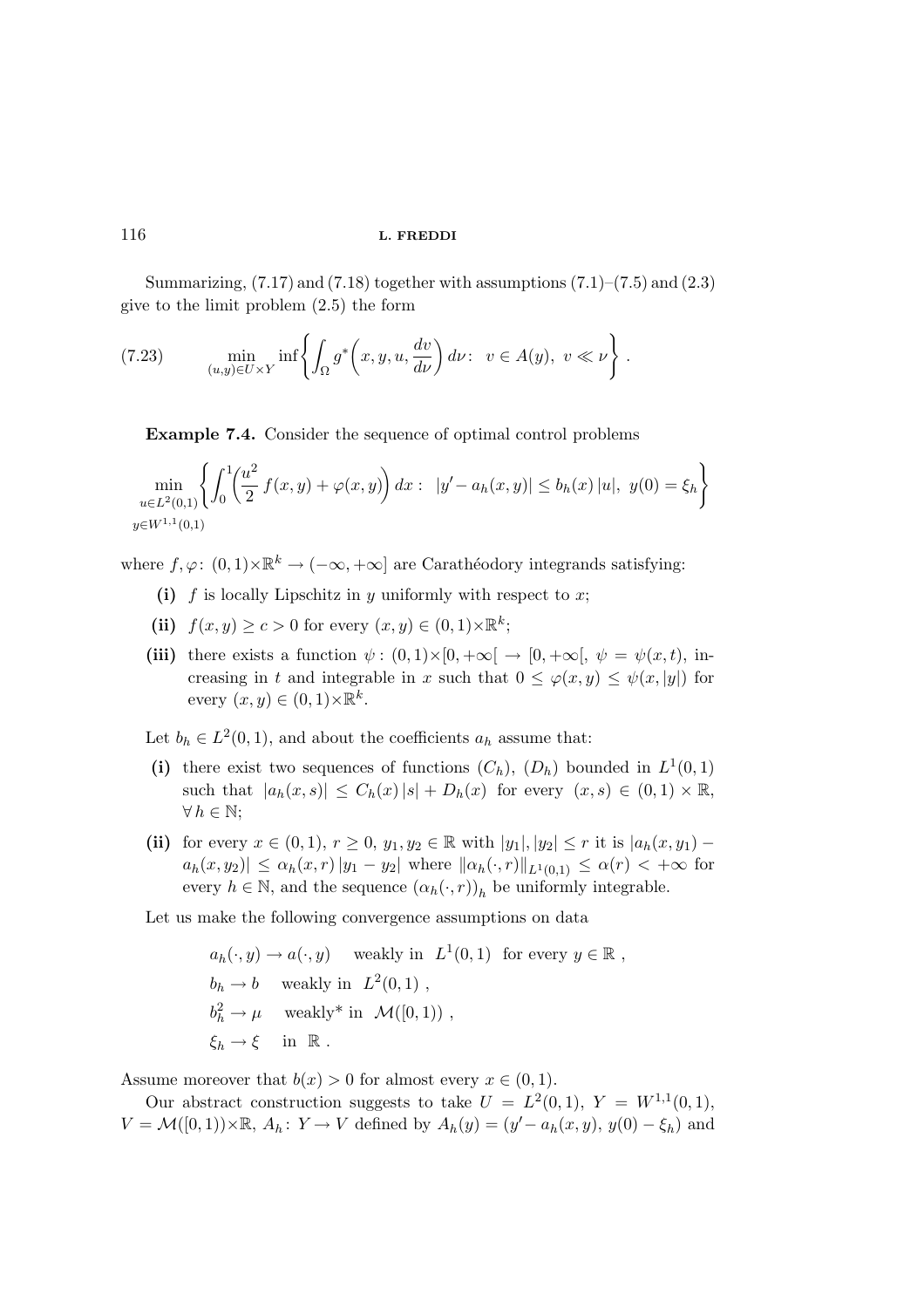Summarizing,  $(7.17)$  and  $(7.18)$  together with assumptions  $(7.1)$ – $(7.5)$  and  $(2.3)$ give to the limit problem (2.5) the form

(7.23) 
$$
\min_{(u,y)\in U\times Y} \inf \left\{ \int_{\Omega} g^*\left(x,y,u,\frac{dv}{d\nu}\right) d\nu : v \in A(y), v \ll \nu \right\}.
$$

Example 7.4. Consider the sequence of optimal control problems

$$
\min_{\substack{u \in L^{2}(0,1) \\ y \in W^{1,1}(0,1)}} \left\{ \int_{0}^{1} \left( \frac{u^{2}}{2} f(x, y) + \varphi(x, y) \right) dx : \ |y' - a_{h}(x, y)| \le b_{h}(x) |u|, \ y(0) = \xi_{h} \right\}
$$

where  $f, \varphi: (0, 1) \times \mathbb{R}^k \to (-\infty, +\infty]$  are Carathéodory integrands satisfying:

- (i) f is locally Lipschitz in y uniformly with respect to x;
- (ii)  $f(x, y) \ge c > 0$  for every  $(x, y) \in (0, 1) \times \mathbb{R}^k$ ;
- (iii) there exists a function  $\psi : (0,1) \times [0, +\infty[ \rightarrow [0, +\infty[, \psi = \psi(x,t), \text{in-}$ creasing in t and integrable in x such that  $0 \leq \varphi(x, y) \leq \psi(x, |y|)$  for every  $(x, y) \in (0, 1) \times \mathbb{R}^k$ .

Let  $b_h \in L^2(0,1)$ , and about the coefficients  $a_h$  assume that:

- (i) there exist two sequences of functions  $(C_h)$ ,  $(D_h)$  bounded in  $L^1(0,1)$ such that  $|a_h(x, s)| \leq C_h(x)|s| + D_h(x)$  for every  $(x, s) \in (0, 1) \times \mathbb{R}$ ,  $\forall h \in \mathbb{N};$
- (ii) for every  $x \in (0,1)$ ,  $r \geq 0$ ,  $y_1, y_2 \in \mathbb{R}$  with  $|y_1|, |y_2| \leq r$  it is  $|a_h(x, y_1) |a_h(x, y_2)| \leq \alpha_h(x, r) |y_1 - y_2|$  where  $\| \alpha_h(\cdot, r) \|_{L^1(0,1)} \leq \alpha(r) < +\infty$  for every  $h \in \mathbb{N}$ , and the sequence  $(\alpha_h(\cdot, r))_h$  be uniformly integrable.

Let us make the following convergence assumptions on data

$$
a_h(\cdot, y) \to a(\cdot, y) \quad \text{weakly in } L^1(0, 1) \text{ for every } y \in \mathbb{R} ,
$$
  
\n
$$
b_h \to b \quad \text{weakly in } L^2(0, 1) ,
$$
  
\n
$$
b_h^2 \to \mu \quad \text{weakly* in } \mathcal{M}([0, 1)) ,
$$
  
\n
$$
\xi_h \to \xi \quad \text{in } \mathbb{R} .
$$

Assume moreover that  $b(x) > 0$  for almost every  $x \in (0, 1)$ .

Our abstract construction suggests to take  $U = L^2(0,1), Y = W^{1,1}(0,1),$  $V = \mathcal{M}([0,1)) \times \mathbb{R}$ ,  $A_h: Y \to V$  defined by  $A_h(y) = (y' - a_h(x, y), y(0) - \xi_h)$  and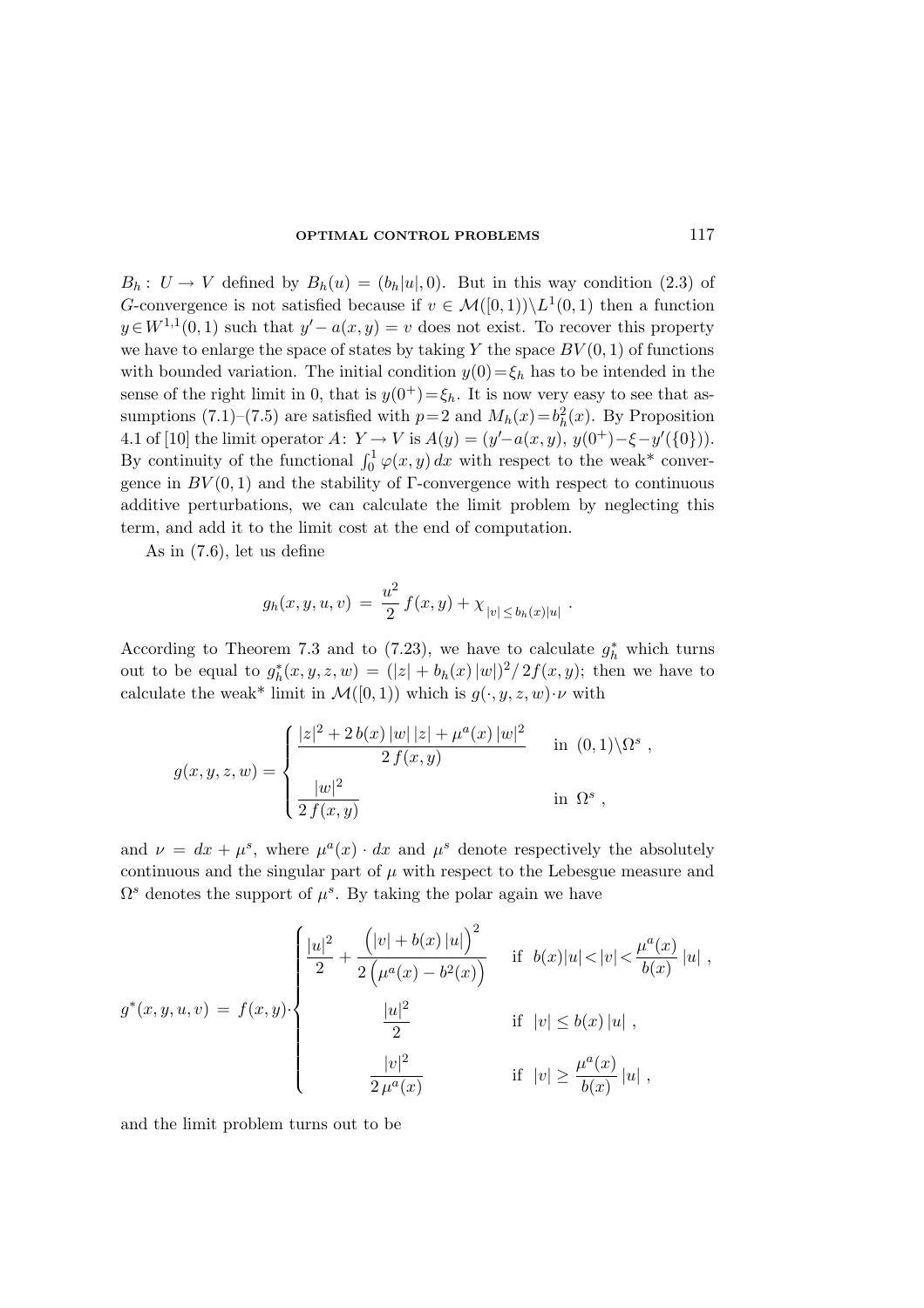$B_h: U \to V$  defined by  $B_h(u) = (b_h|u|, 0)$ . But in this way condition (2.3) of G-convergence is not satisfied because if  $v \in \mathcal{M}([0,1)) \backslash L^1(0,1)$  then a function  $y \in W^{1,1}(0,1)$  such that  $y'-a(x,y)=v$  does not exist. To recover this property we have to enlarge the space of states by taking Y the space  $BV(0, 1)$  of functions with bounded variation. The initial condition  $y(0) = \xi_h$  has to be intended in the sense of the right limit in 0, that is  $y(0^+) = \xi_h$ . It is now very easy to see that assumptions (7.1)–(7.5) are satisfied with  $p=2$  and  $M_h(x) = b_h^2(x)$ . By Proposition 4.1 of [10] the limit operator  $A: Y \to V$  is  $A(y) = (y'-a(x, y), y(0^+) - \xi - y'(\{0\})).$ By continuity of the functional  $\int_0^1 \varphi(x, y) dx$  with respect to the weak\* convergence in  $BV(0, 1)$  and the stability of  $\Gamma$ -convergence with respect to continuous additive perturbations, we can calculate the limit problem by neglecting this term, and add it to the limit cost at the end of computation.

As in (7.6), let us define

$$
g_h(x, y, u, v) = \frac{u^2}{2} f(x, y) + \chi_{|v| \le b_h(x)|u|}
$$

.

According to Theorem 7.3 and to (7.23), we have to calculate  $g_h^*$  which turns out to be equal to  $g_h^*(x, y, z, w) = (|z| + b_h(x) |w|)^2 / 2f(x, y)$ ; then we have to calculate the weak\* limit in  $\mathcal{M}([0,1))$  which is  $g(\cdot, y, z, w) \cdot \nu$  with

$$
g(x, y, z, w) = \begin{cases} \frac{|z|^2 + 2b(x)|w||z| + \mu^a(x)|w|^2}{2f(x, y)} & \text{in (0, 1)\setminus\Omega^s} \\ \frac{|w|^2}{2f(x, y)} & \text{in \Omega^s} \end{cases}
$$

and  $\nu = dx + \mu^s$ , where  $\mu^a(x) \cdot dx$  and  $\mu^s$  denote respectively the absolutely continuous and the singular part of  $\mu$  with respect to the Lebesgue measure and  $\Omega^s$  denotes the support of  $\mu^s$ . By taking the polar again we have

$$
g^*(x, y, u, v) = f(x, y) \cdot \begin{cases} \frac{|u|^2}{2} + \frac{(|v| + b(x) |u|)^2}{2(\mu^a(x) - b^2(x))} & \text{if } b(x)|u| < |v| < \frac{\mu^a(x)}{b(x)}|u| ,\\ \frac{|u|^2}{2} & \text{if } |v| \le b(x)|u| ,\\ \frac{|v|^2}{2\mu^a(x)} & \text{if } |v| \ge \frac{\mu^a(x)}{b(x)}|u| , \end{cases}
$$

and the limit problem turns out to be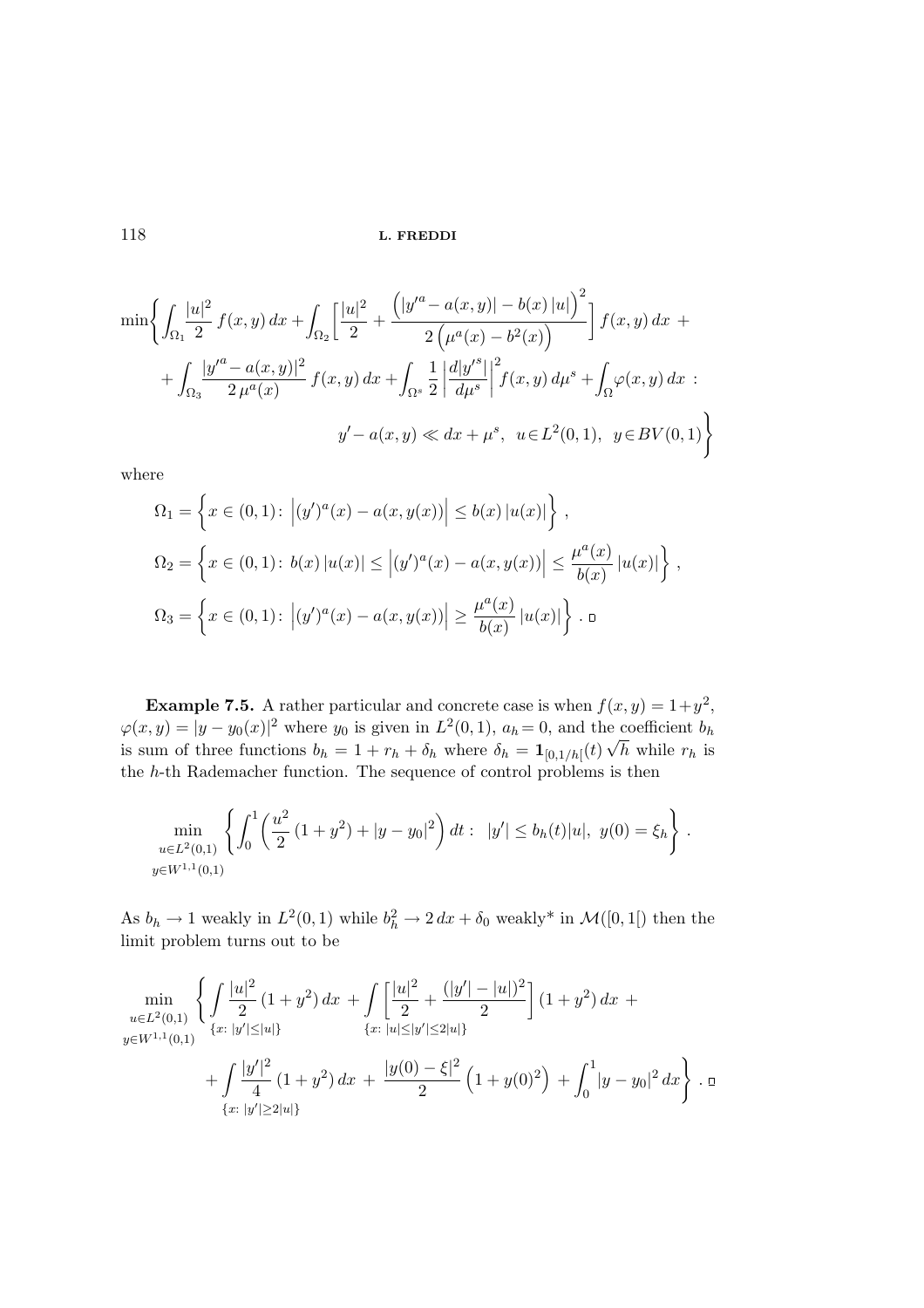$$
\min\left\{\int_{\Omega_1} \frac{|u|^2}{2} f(x, y) dx + \int_{\Omega_2} \left[\frac{|u|^2}{2} + \frac{\left(|y'^a - a(x, y)| - b(x)|u|\right)^2}{2\left(\mu^a(x) - b^2(x)\right)}\right] f(x, y) dx + \int_{\Omega_3} \frac{|y'^a - a(x, y)|^2}{2\mu^a(x)} f(x, y) dx + \int_{\Omega_3} \frac{1}{2} \left|\frac{d|y'^s}{d\mu^s}\right|^2 f(x, y) d\mu^s + \int_{\Omega} \varphi(x, y) dx ;
$$
  

$$
y' - a(x, y) \ll dx + \mu^s, \quad u \in L^2(0, 1), \quad y \in BV(0, 1)
$$

where

$$
\Omega_1 = \left\{ x \in (0,1) : \left| (y')^a(x) - a(x,y(x)) \right| \le b(x) |u(x)| \right\},\
$$
  
\n
$$
\Omega_2 = \left\{ x \in (0,1) : \left| b(x) |u(x)| \le \left| (y')^a(x) - a(x,y(x)) \right| \le \frac{\mu^a(x)}{b(x)} |u(x)| \right\},\
$$
  
\n
$$
\Omega_3 = \left\{ x \in (0,1) : \left| (y')^a(x) - a(x,y(x)) \right| \ge \frac{\mu^a(x)}{b(x)} |u(x)| \right\}.
$$

**Example 7.5.** A rather particular and concrete case is when  $f(x, y) = 1 + y^2$ ,  $\varphi(x, y) = |y - y_0(x)|^2$  where  $y_0$  is given in  $L^2(0, 1)$ ,  $a_h = 0$ , and the coefficient  $b_h$ is sum of three functions  $b_h = 1 + r_h + \delta_h$  where  $\delta_h = \mathbf{1}_{[0,1/h]}(t) \sqrt{h}$  while  $r_h$  is the h-th Rademacher function. The sequence of control problems is then

$$
\min_{u \in L^{2}(0,1)} \left\{ \int_{0}^{1} \left( \frac{u^{2}}{2} (1+y^{2}) + |y-y_{0}|^{2} \right) dt : \ |y'| \leq b_{h}(t)|u|, \ y(0) = \xi_{h} \right\}.
$$
  

$$
y \in W^{1,1}(0,1)
$$

As  $b_h \to 1$  weakly in  $L^2(0,1)$  while  $b_h^2 \to 2 dx + \delta_0$  weakly\* in  $\mathcal{M}([0,1])$  then the limit problem turns out to be

$$
\min_{u \in L^{2}(0,1)} \left\{ \int \frac{|u|^{2}}{2} (1+y^{2}) dx + \int \left[ \frac{|u|^{2}}{2} + \frac{(|y'| - |u|)^{2}}{2} \right] (1+y^{2}) dx + \int \frac{|u|^{2} (|x'| - |u|)^{2}}{4} (1+y^{2}) dx \right\}
$$
  
+ 
$$
\int \frac{|y'|^{2}}{4} (1+y^{2}) dx + \frac{|y(0) - \xi|^{2}}{2} (1+y(0)^{2}) + \int_{0}^{1} |y - y_{0}|^{2} dx \right\} . \Box
$$
  

$$
\{x: |y'| \geq 2|u|\}
$$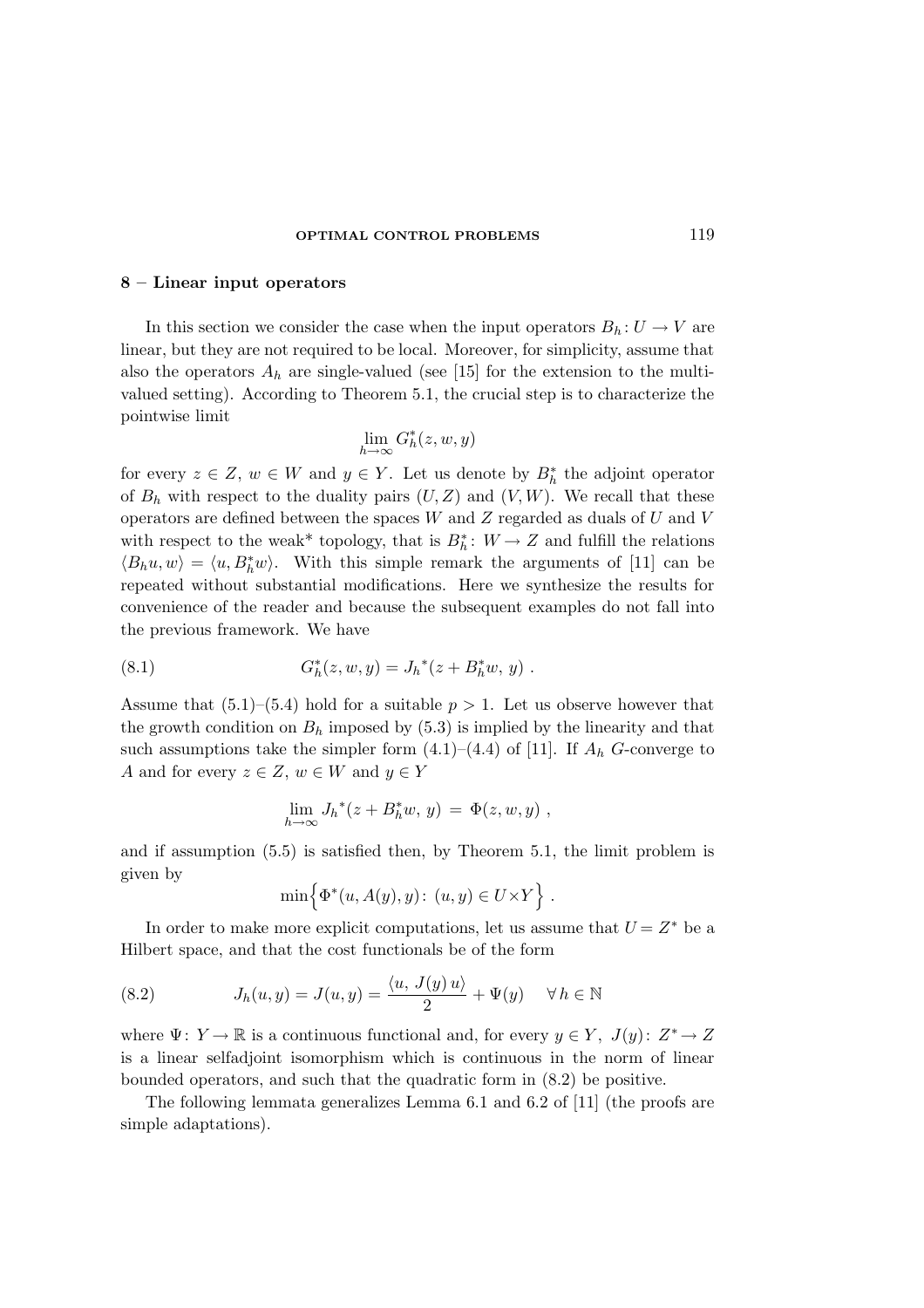# 8 – Linear input operators

In this section we consider the case when the input operators  $B_h: U \to V$  are linear, but they are not required to be local. Moreover, for simplicity, assume that also the operators  $A_h$  are single-valued (see [15] for the extension to the multivalued setting). According to Theorem 5.1, the crucial step is to characterize the pointwise limit

$$
\lim_{h \to \infty} G_h^*(z, w, y)
$$

for every  $z \in Z$ ,  $w \in W$  and  $y \in Y$ . Let us denote by  $B_h^*$  the adjoint operator of  $B_h$  with respect to the duality pairs  $(U, Z)$  and  $(V, W)$ . We recall that these operators are defined between the spaces  $W$  and  $Z$  regarded as duals of  $U$  and  $V$ with respect to the weak<sup>\*</sup> topology, that is  $B_h^*: W \to Z$  and fulfill the relations  $\langle B_h u, w \rangle = \langle u, B_h^* w \rangle$ . With this simple remark the arguments of [11] can be repeated without substantial modifications. Here we synthesize the results for convenience of the reader and because the subsequent examples do not fall into the previous framework. We have

(8.1) 
$$
G_h^*(z, w, y) = J_h^*(z + B_h^*w, y) .
$$

Assume that  $(5.1)$ – $(5.4)$  hold for a suitable  $p > 1$ . Let us observe however that the growth condition on  $B_h$  imposed by (5.3) is implied by the linearity and that such assumptions take the simpler form  $(4.1)$ – $(4.4)$  of [11]. If  $A<sub>h</sub>$  G-converge to A and for every  $z \in Z$ ,  $w \in W$  and  $y \in Y$ 

$$
\lim_{h\to\infty} J_h^*(z+B_h^*w, y) = \Phi(z, w, y) ,
$$

and if assumption (5.5) is satisfied then, by Theorem 5.1, the limit problem is given by

$$
\min\Big\{\Phi^*(u, A(y), y)\colon (u, y) \in U \times Y\Big\} .
$$

In order to make more explicit computations, let us assume that  $U = Z^*$  be a Hilbert space, and that the cost functionals be of the form

(8.2) 
$$
J_h(u, y) = J(u, y) = \frac{\langle u, J(y) u \rangle}{2} + \Psi(y) \quad \forall h \in \mathbb{N}
$$

where  $\Psi: Y \to \mathbb{R}$  is a continuous functional and, for every  $y \in Y$ ,  $J(y): Z^* \to Z$ is a linear selfadjoint isomorphism which is continuous in the norm of linear bounded operators, and such that the quadratic form in (8.2) be positive.

The following lemmata generalizes Lemma 6.1 and 6.2 of [11] (the proofs are simple adaptations).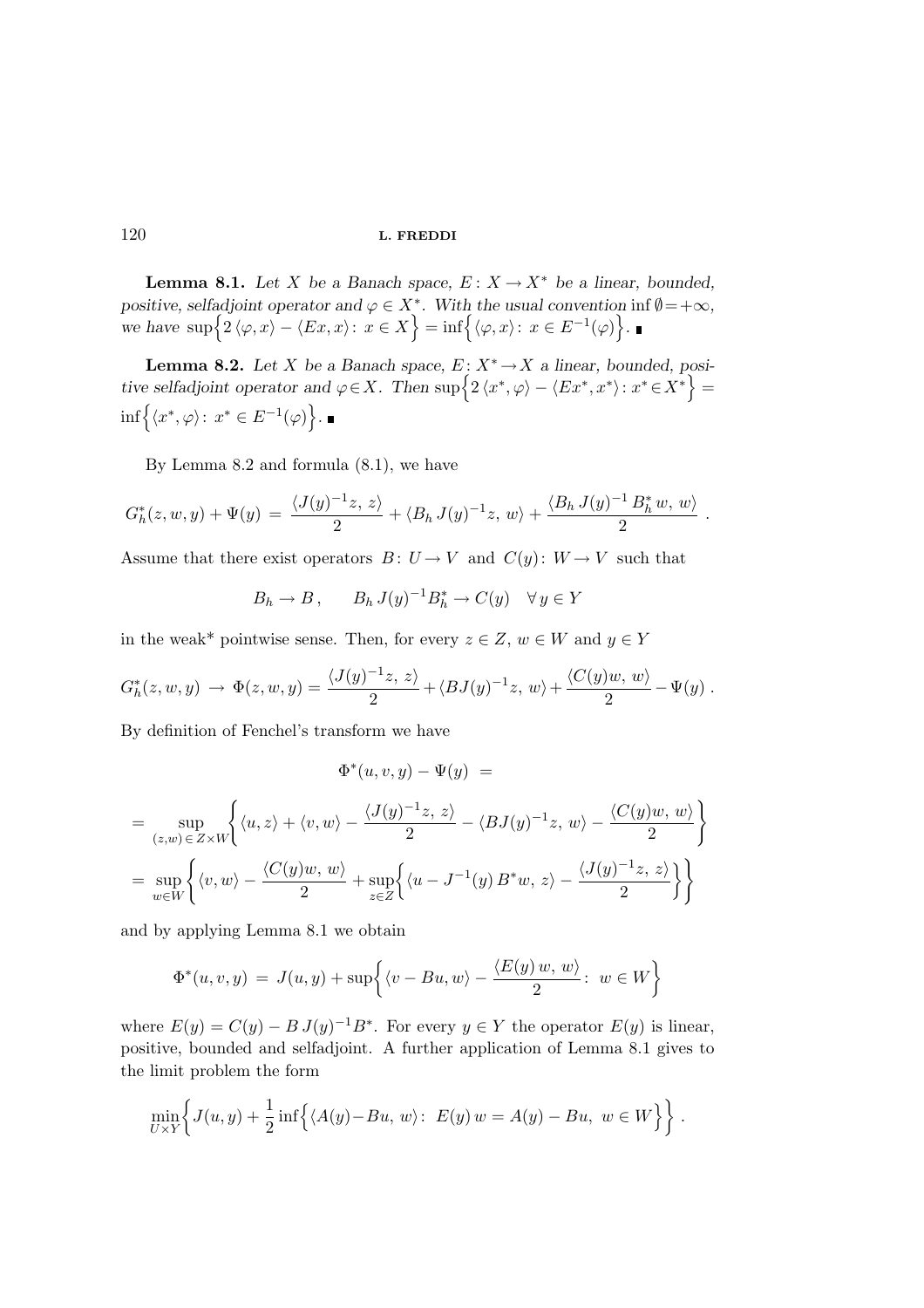**Lemma 8.1.** Let X be a Banach space,  $E: X \to X^*$  be a linear, bounded, positive, selfadjoint operator and  $\varphi \in X^*$ . With the usual convention inf  $\emptyset = +\infty$ , we have  $\sup\Big\{2\langle\varphi,x\rangle-\langle Ex,x\rangle\colon\, x\in X\Big\}=\inf\Big\{\langle\varphi,x\rangle\colon\, x\in E^{-1}(\varphi)\Big\}.$ 

**Lemma 8.2.** Let X be a Banach space,  $E: X^* \to X$  a linear, bounded, positive selfadjoint operator and  $\varphi \in X$ . Then  $\sup \Big\{ 2 \langle x^*, \varphi \rangle - \langle Ex^*, x^* \rangle : x^* \in X^* \Big\} =$  $\inf\Big\{\langle x^*,\varphi\rangle\colon\, x^*\in E^{-1}(\varphi)\Big\}.$ 

By Lemma 8.2 and formula (8.1), we have

$$
G_h^*(z, w, y) + \Psi(y) = \frac{\langle J(y)^{-1}z, z \rangle}{2} + \langle B_h J(y)^{-1}z, w \rangle + \frac{\langle B_h J(y)^{-1} B_h^* w, w \rangle}{2}
$$

.

Assume that there exist operators  $B: U \to V$  and  $C(y): W \to V$  such that

$$
B_h \to B, \qquad B_h J(y)^{-1} B_h^* \to C(y) \quad \forall y \in Y
$$

in the weak\* pointwise sense. Then, for every  $z \in Z$ ,  $w \in W$  and  $y \in Y$ 

$$
G_h^*(z, w, y) \rightarrow \Phi(z, w, y) = \frac{\langle J(y)^{-1}z, z \rangle}{2} + \langle BJ(y)^{-1}z, w \rangle + \frac{\langle C(y)w, w \rangle}{2} - \Psi(y) .
$$

By definition of Fenchel's transform we have

$$
\Phi^*(u, v, y) - \Psi(y) =
$$
\n
$$
= \sup_{(z,w)\in Z\times W} \left\{ \langle u, z \rangle + \langle v, w \rangle - \frac{\langle J(y)^{-1}z, z \rangle}{2} - \langle BJ(y)^{-1}z, w \rangle - \frac{\langle C(y)w, w \rangle}{2} \right\}
$$
\n
$$
= \sup_{w \in W} \left\{ \langle v, w \rangle - \frac{\langle C(y)w, w \rangle}{2} + \sup_{z \in Z} \left\{ \langle u - J^{-1}(y) B^*w, z \rangle - \frac{\langle J(y)^{-1}z, z \rangle}{2} \right\} \right\}
$$

and by applying Lemma 8.1 we obtain

$$
\Phi^*(u, v, y) = J(u, y) + \sup\left\{\langle v - Bu, w \rangle - \frac{\langle E(y) w, w \rangle}{2} : w \in W\right\}
$$

where  $E(y) = C(y) - B J(y)^{-1} B^*$ . For every  $y \in Y$  the operator  $E(y)$  is linear, positive, bounded and selfadjoint. A further application of Lemma 8.1 gives to the limit problem the form

$$
\min_{U\times Y}\left\{J(u,y)+\frac{1}{2}\inf\left\{\langle A(y)-Bu,\,w\rangle\colon\ E(y)\,w=A(y)-Bu,\ w\in W\right\}\right\}.
$$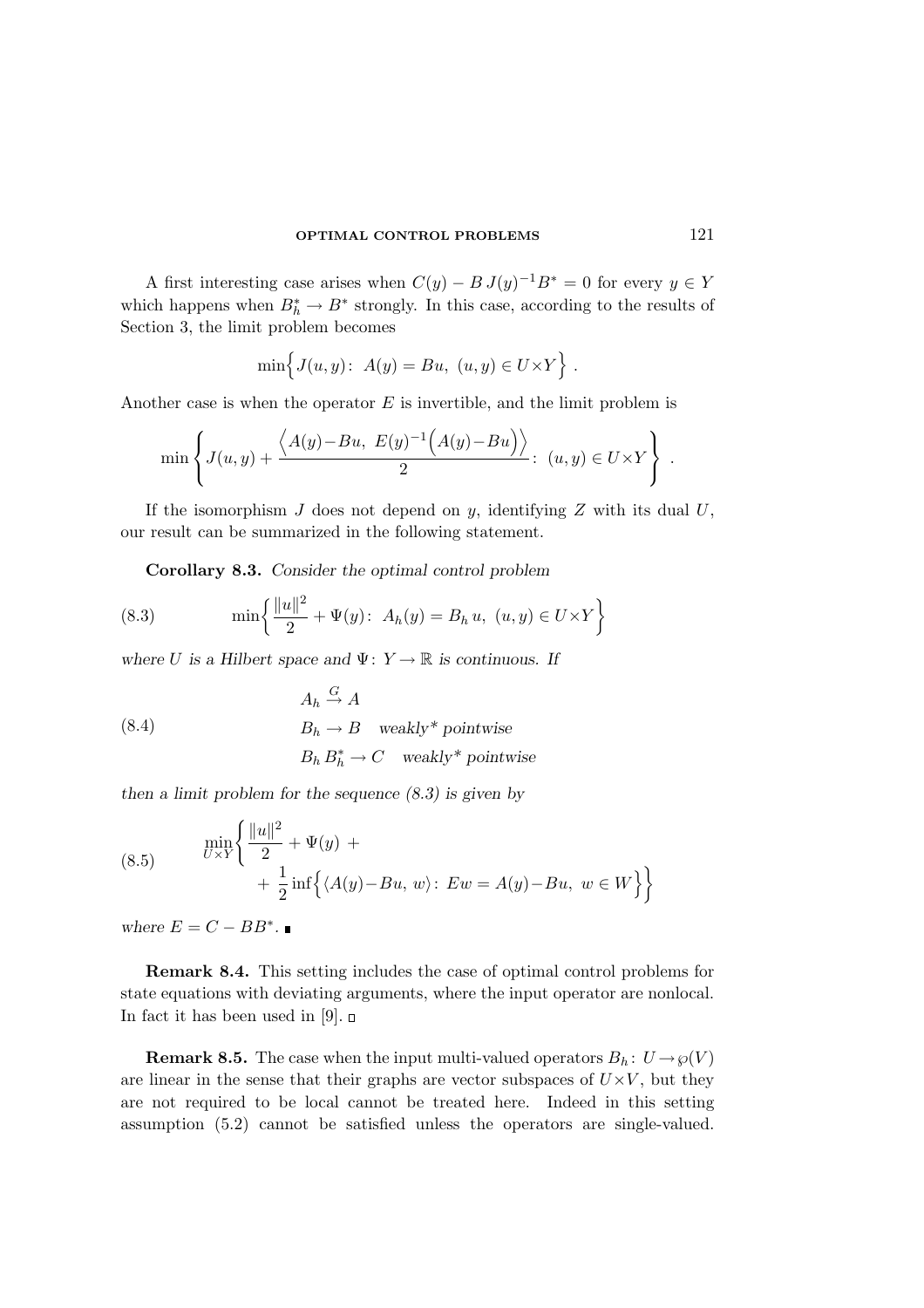A first interesting case arises when  $C(y) - B J(y)^{-1}B^* = 0$  for every  $y \in Y$ which happens when  $B_h^* \to B^*$  strongly. In this case, according to the results of Section 3, the limit problem becomes

$$
\min \Big\{ J(u, y) \colon A(y) = Bu, \ (u, y) \in U \times Y \Big\} .
$$

Another case is when the operator  $E$  is invertible, and the limit problem is

$$
\min\left\{J(u,y)+\frac{\left\langle A(y)-Bu, E(y)^{-1}\left(A(y)-Bu\right)\right\rangle}{2}:\ (u,y)\in U\times Y\right\}.
$$

If the isomorphism  $J$  does not depend on  $y$ , identifying  $Z$  with its dual  $U$ , our result can be summarized in the following statement.

Corollary 8.3. Consider the optimal control problem

(8.3) 
$$
\min \left\{ \frac{\|u\|^2}{2} + \Psi(y) : A_h(y) = B_h u, \ (u, y) \in U \times Y \right\}
$$

where U is a Hilbert space and  $\Psi: Y \to \mathbb{R}$  is continuous. If

(8.4) 
$$
A_h \stackrel{G}{\rightarrow} A
$$

$$
B_h \rightarrow B \quad \text{weakly* pointwise}
$$

$$
B_h B_h^* \rightarrow C \quad \text{weakly* pointwise}
$$

then a limit problem for the sequence  $(8.3)$  is given by

(8.5) 
$$
\begin{aligned}\n&\min_{U \times Y} \left\{ \frac{\|u\|^2}{2} + \Psi(y) + \\
&+ \frac{1}{2} \inf \left\{ \langle A(y) - Bu, w \rangle \colon Ew = A(y) - Bu, w \in W \right\} \right\}\n\end{aligned}
$$

where  $E = C - BB^*$ .

Remark 8.4. This setting includes the case of optimal control problems for state equations with deviating arguments, where the input operator are nonlocal. In fact it has been used in [9].  $\Box$ 

**Remark 8.5.** The case when the input multi-valued operators  $B_h: U \to \varphi(V)$ are linear in the sense that their graphs are vector subspaces of  $U\times V$ , but they are not required to be local cannot be treated here. Indeed in this setting assumption (5.2) cannot be satisfied unless the operators are single-valued.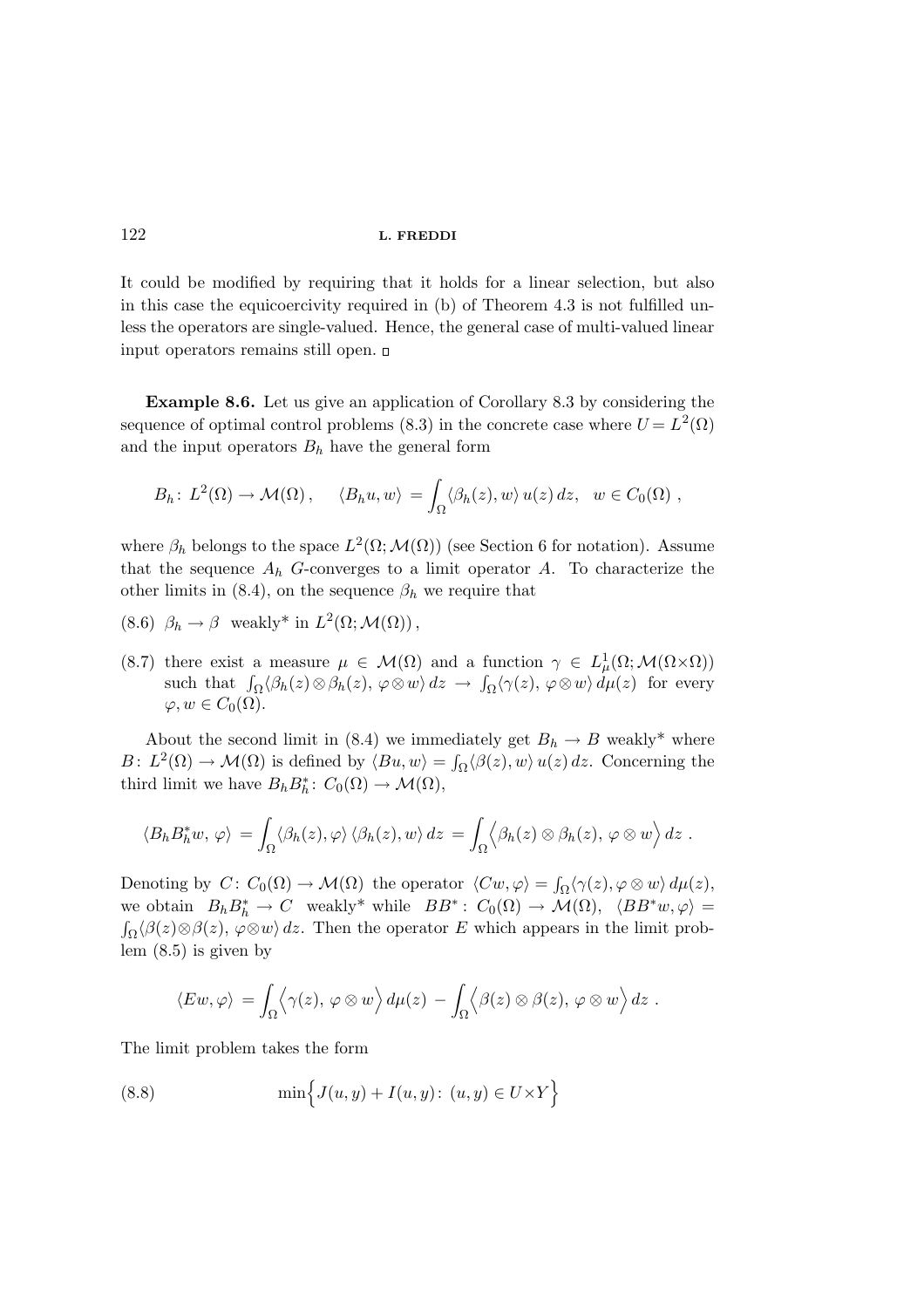It could be modified by requiring that it holds for a linear selection, but also in this case the equicoercivity required in (b) of Theorem 4.3 is not fulfilled unless the operators are single-valued. Hence, the general case of multi-valued linear input operators remains still open.

Example 8.6. Let us give an application of Corollary 8.3 by considering the sequence of optimal control problems (8.3) in the concrete case where  $U = L^2(\Omega)$ and the input operators  $B_h$  have the general form

$$
B_h\colon L^2(\Omega)\to \mathcal{M}(\Omega)\,,\qquad \langle B_h u, w\rangle\,=\int_{\Omega}\langle \beta_h(z), w\rangle\,u(z)\,dz,\quad w\in C_0(\Omega)\,,
$$

where  $\beta_h$  belongs to the space  $L^2(\Omega; \mathcal{M}(\Omega))$  (see Section 6 for notation). Assume that the sequence  $A_h$  G-converges to a limit operator  $A$ . To characterize the other limits in (8.4), on the sequence  $\beta_h$  we require that

- (8.6)  $\beta_h \to \beta$  weakly\* in  $L^2(\Omega; \mathcal{M}(\Omega))$ ,
- (8.7) there exist a measure  $\mu \in \mathcal{M}(\Omega)$  and a function  $\gamma \in L^1_\mu(\Omega; \mathcal{M}(\Omega \times \Omega))$ such that  $\int_{\Omega} \langle \beta_h(z) \otimes \beta_h(z), \varphi \otimes w \rangle dz \to \int_{\Omega} \langle \gamma(z), \varphi \otimes w \rangle d\mu(z)$  for every  $\varphi, w \in C_0(\Omega)$ .

About the second limit in (8.4) we immediately get  $B_h \to B$  weakly\* where  $B: L^2(\Omega) \to \mathcal{M}(\Omega)$  is defined by  $\langle Bu, w \rangle = \int_{\Omega} \langle \beta(z), w \rangle u(z) dz$ . Concerning the third limit we have  $B_h B_h^* \colon C_0(\Omega) \to \mathcal{M}(\Omega)$ ,

$$
\langle B_h B_h^* w, \varphi \rangle = \int_{\Omega} \langle \beta_h(z), \varphi \rangle \langle \beta_h(z), w \rangle dz = \int_{\Omega} \langle \beta_h(z) \otimes \beta_h(z), \varphi \otimes w \rangle dz.
$$

Denoting by  $C\colon C_0(\Omega) \to \mathcal{M}(\Omega)$  the operator  $\langle Cw, \varphi \rangle = \int_{\Omega} \langle \gamma(z), \varphi \otimes w \rangle d\mu(z),$ we obtain  $B_h B_h^* \to C$  weakly\* while  $BB^*: C_0(\Omega) \to \mathcal{M}(\Omega)$ ,  $\langle BB^*w, \varphi \rangle =$  $\int_{\Omega} \langle \beta(z) \otimes \beta(z), \varphi \otimes w \rangle dz$ . Then the operator E which appears in the limit prob- $\hat{p}_{\Omega}(\beta(z)\otimes\beta(z),\varphi\otimes w)$  dz. Then the operator E which appears in the limit problem (8.5) is given by

$$
\langle Ew, \varphi \rangle = \int_{\Omega} \langle \gamma(z), \varphi \otimes w \rangle d\mu(z) - \int_{\Omega} \langle \beta(z) \otimes \beta(z), \varphi \otimes w \rangle dz.
$$

The limit problem takes the form

(8.8) 
$$
\min \Big\{ J(u, y) + I(u, y) : (u, y) \in U \times Y \Big\}
$$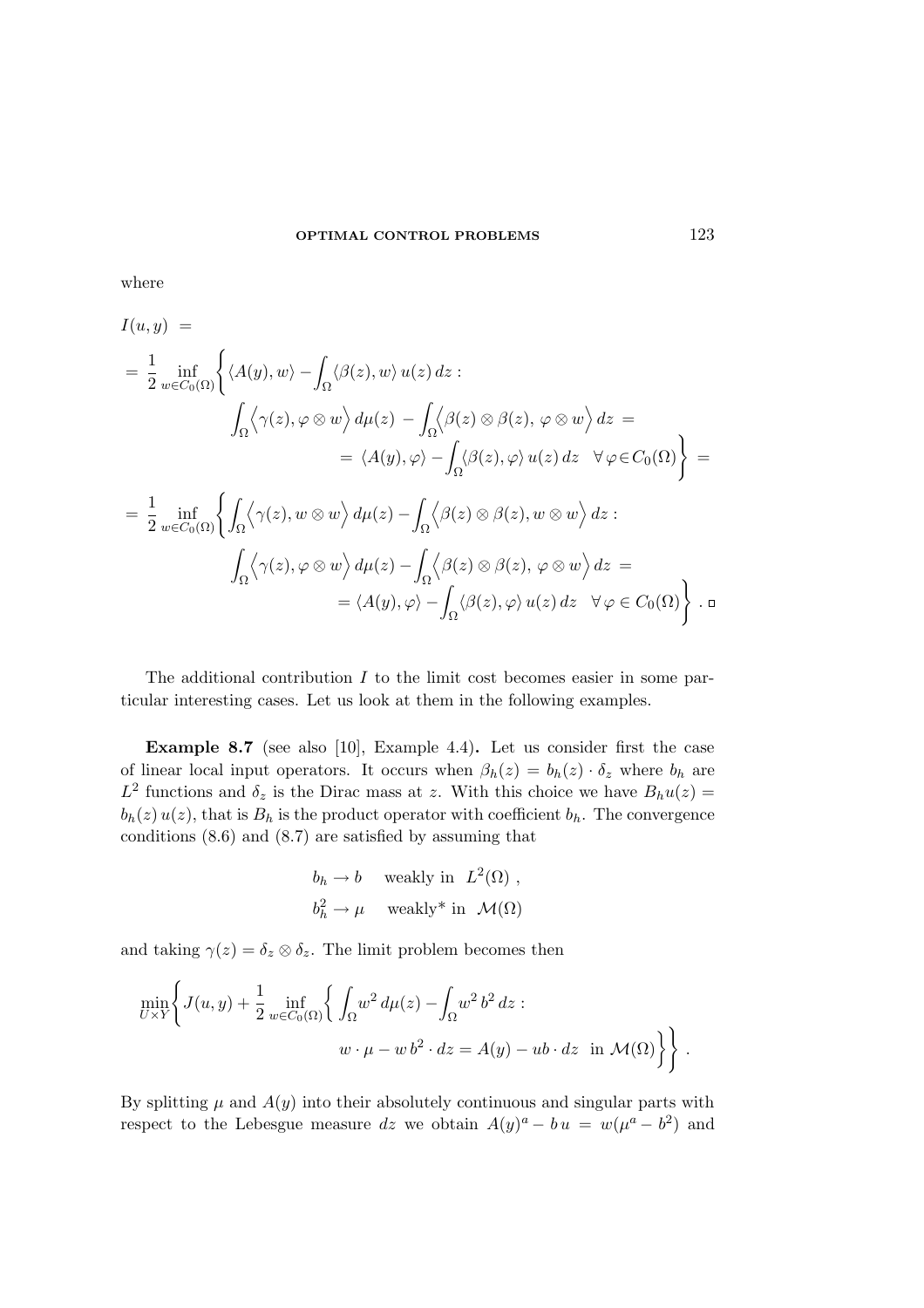where

$$
I(u, y) =
$$
  
\n
$$
= \frac{1}{2} \inf_{w \in C_0(\Omega)} \left\{ \langle A(y), w \rangle - \int_{\Omega} \langle \beta(z), w \rangle u(z) dz : \right\}
$$
  
\n
$$
\int_{\Omega} \langle \gamma(z), \varphi \otimes w \rangle d\mu(z) - \int_{\Omega} \langle \beta(z) \otimes \beta(z), \varphi \otimes w \rangle dz =
$$
  
\n
$$
= \langle A(y), \varphi \rangle - \int_{\Omega} \langle \beta(z), \varphi \rangle u(z) dz \quad \forall \varphi \in C_0(\Omega) \right\} =
$$
  
\n
$$
= \frac{1}{2} \inf_{w \in C_0(\Omega)} \left\{ \int_{\Omega} \langle \gamma(z), w \otimes w \rangle d\mu(z) - \int_{\Omega} \langle \beta(z) \otimes \beta(z), w \otimes w \rangle dz : \right\}
$$
  
\n
$$
\int_{\Omega} \langle \gamma(z), \varphi \otimes w \rangle d\mu(z) - \int_{\Omega} \langle \beta(z) \otimes \beta(z), \varphi \otimes w \rangle dz =
$$
  
\n
$$
= \langle A(y), \varphi \rangle - \int_{\Omega} \langle \beta(z), \varphi \rangle u(z) dz \quad \forall \varphi \in C_0(\Omega) \right\} . \square
$$

The additional contribution  $I$  to the limit cost becomes easier in some particular interesting cases. Let us look at them in the following examples.

Example 8.7 (see also [10], Example 4.4). Let us consider first the case of linear local input operators. It occurs when  $\beta_h(z) = b_h(z) \cdot \delta_z$  where  $b_h$  are  $L^2$  functions and  $\delta_z$  is the Dirac mass at z. With this choice we have  $B_h u(z) =$  $b_h(z) u(z)$ , that is  $B_h$  is the product operator with coefficient  $b_h$ . The convergence conditions (8.6) and (8.7) are satisfied by assuming that

$$
b_h \to b
$$
 weakly in  $L^2(\Omega)$ ,  
 $b_h^2 \to \mu$  weakly\* in  $\mathcal{M}(\Omega)$ 

and taking  $\gamma(z) = \delta_z \otimes \delta_z$ . The limit problem becomes then

$$
\min_{U \times Y} \left\{ J(u, y) + \frac{1}{2} \inf_{w \in C_0(\Omega)} \left\{ \int_{\Omega} w^2 d\mu(z) - \int_{\Omega} w^2 b^2 dz : \right. \\ w \cdot \mu - w b^2 \cdot dz = A(y) - ub \cdot dz \text{ in } \mathcal{M}(\Omega) \right\} \right\}.
$$

By splitting  $\mu$  and  $A(y)$  into their absolutely continuous and singular parts with respect to the Lebesgue measure  $dz$  we obtain  $A(y)^a - bu = w(\mu^a - b^2)$  and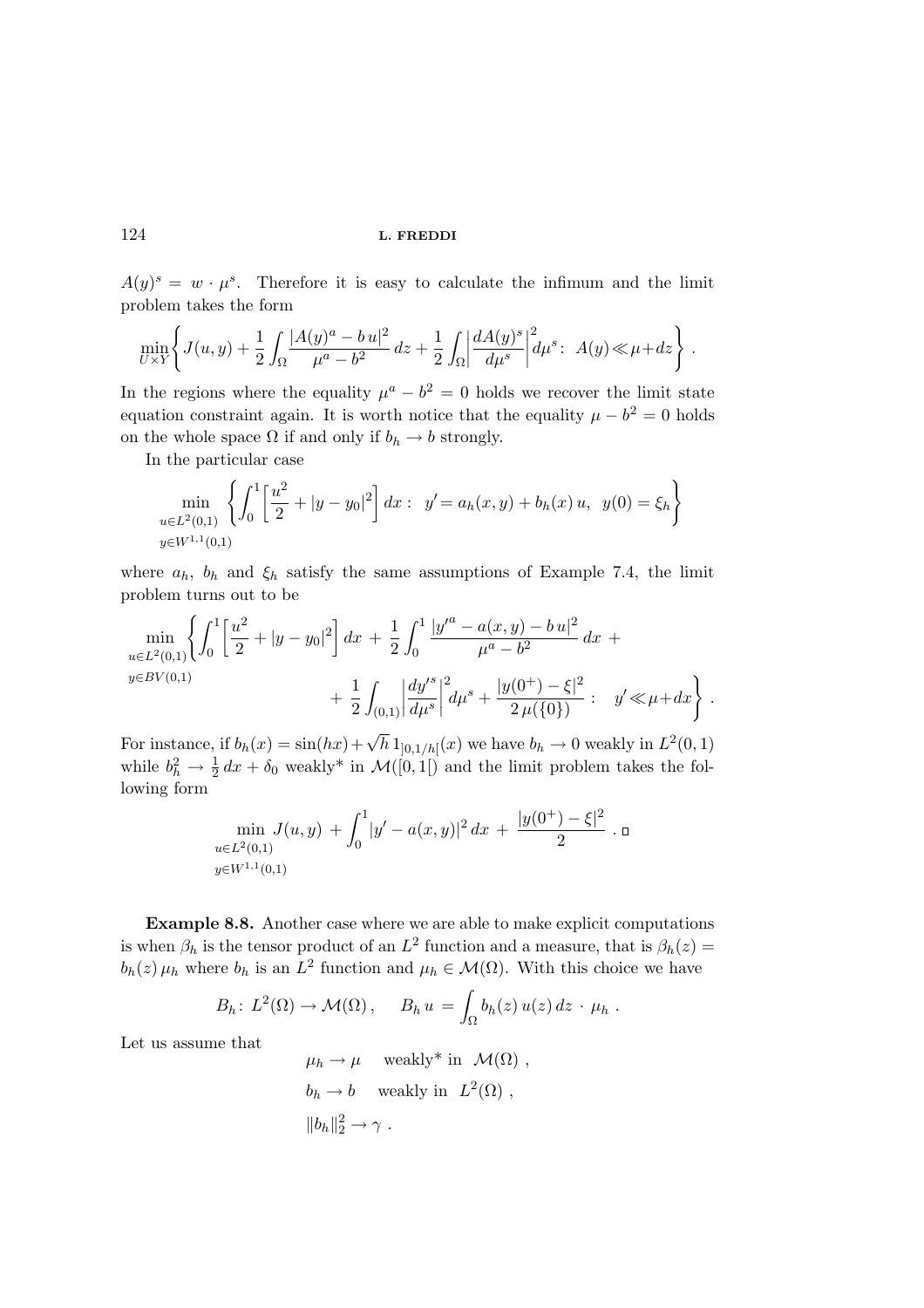$A(y)^s = w \cdot \mu^s$ . Therefore it is easy to calculate the infimum and the limit problem takes the form

$$
\min_{U \times Y} \left\{ J(u, y) + \frac{1}{2} \int_{\Omega} \frac{|A(y)^a - b u|^2}{\mu^a - b^2} \, dz + \frac{1}{2} \int_{\Omega} \left| \frac{dA(y)^s}{d\mu^s} \right|^2 d\mu^s \colon A(y) \ll \mu + dz \right\} \, .
$$

In the regions where the equality  $\mu^a - b^2 = 0$  holds we recover the limit state equation constraint again. It is worth notice that the equality  $\mu - b^2 = 0$  holds on the whole space  $\Omega$  if and only if  $b_h \to b$  strongly.

In the particular case

$$
\min_{u \in L^{2}(0,1)} \left\{ \int_{0}^{1} \left[ \frac{u^{2}}{2} + |y - y_{0}|^{2} \right] dx : y' = a_{h}(x, y) + b_{h}(x) u, y(0) = \xi_{h} \right\}
$$
  

$$
y \in W^{1,1}(0,1)
$$

where  $a_h$ ,  $b_h$  and  $\xi_h$  satisfy the same assumptions of Example 7.4, the limit problem turns out to be

$$
\min_{u \in L^{2}(0,1)} \left\{ \int_{0}^{1} \left[ \frac{u^{2}}{2} + |y - y_{0}|^{2} \right] dx + \frac{1}{2} \int_{0}^{1} \frac{|y^{\prime a} - a(x,y) - b u|^{2}}{\mu^{a} - b^{2}} dx + \right. \\ \left. + \frac{1}{2} \int_{(0,1)} \left| \frac{dy^{\prime s}}{d\mu^{s}} \right|^{2} d\mu^{s} + \frac{|y(0^{+}) - \xi|^{2}}{2 \mu(\{0\})} : \quad y^{\prime} \ll \mu + dx \right\} .
$$

For instance, if  $b_h(x) = \sin(hx) + \sqrt{h} 1_{]0,1/h[}(x)$  we have  $b_h \to 0$  weakly in  $L^2(0,1)$ while  $b_h^2 \to \frac{1}{2} dx + \delta_0$  weakly<sup>\*</sup> in  $\mathcal{M}([0,1])$  and the limit problem takes the following form

$$
\min_{u \in L^{2}(0,1)} J(u,y) + \int_{0}^{1} |y'-a(x,y)|^{2} dx + \frac{|y(0^{+})-\xi|^{2}}{2} \cdot \mathbf{d}
$$
  

$$
y \in W^{1,1}(0,1)
$$

Example 8.8. Another case where we are able to make explicit computations is when  $\beta_h$  is the tensor product of an  $L^2$  function and a measure, that is  $\beta_h(z)$  $b_h(z) \mu_h$  where  $b_h$  is an  $L^2$  function and  $\mu_h \in \mathcal{M}(\Omega)$ . With this choice we have

$$
B_h\colon L^2(\Omega)\to \mathcal{M}(\Omega)\,,\quad B_h\,u=\int_{\Omega}b_h(z)\,u(z)\,dz\,\cdot\,\mu_h\;.
$$

Let us assume that

$$
\mu_h \to \mu \quad \text{weakly* in } \mathcal{M}(\Omega) ,
$$
  

$$
b_h \to b \quad \text{weakly in } L^2(\Omega) ,
$$
  

$$
||b_h||_2^2 \to \gamma .
$$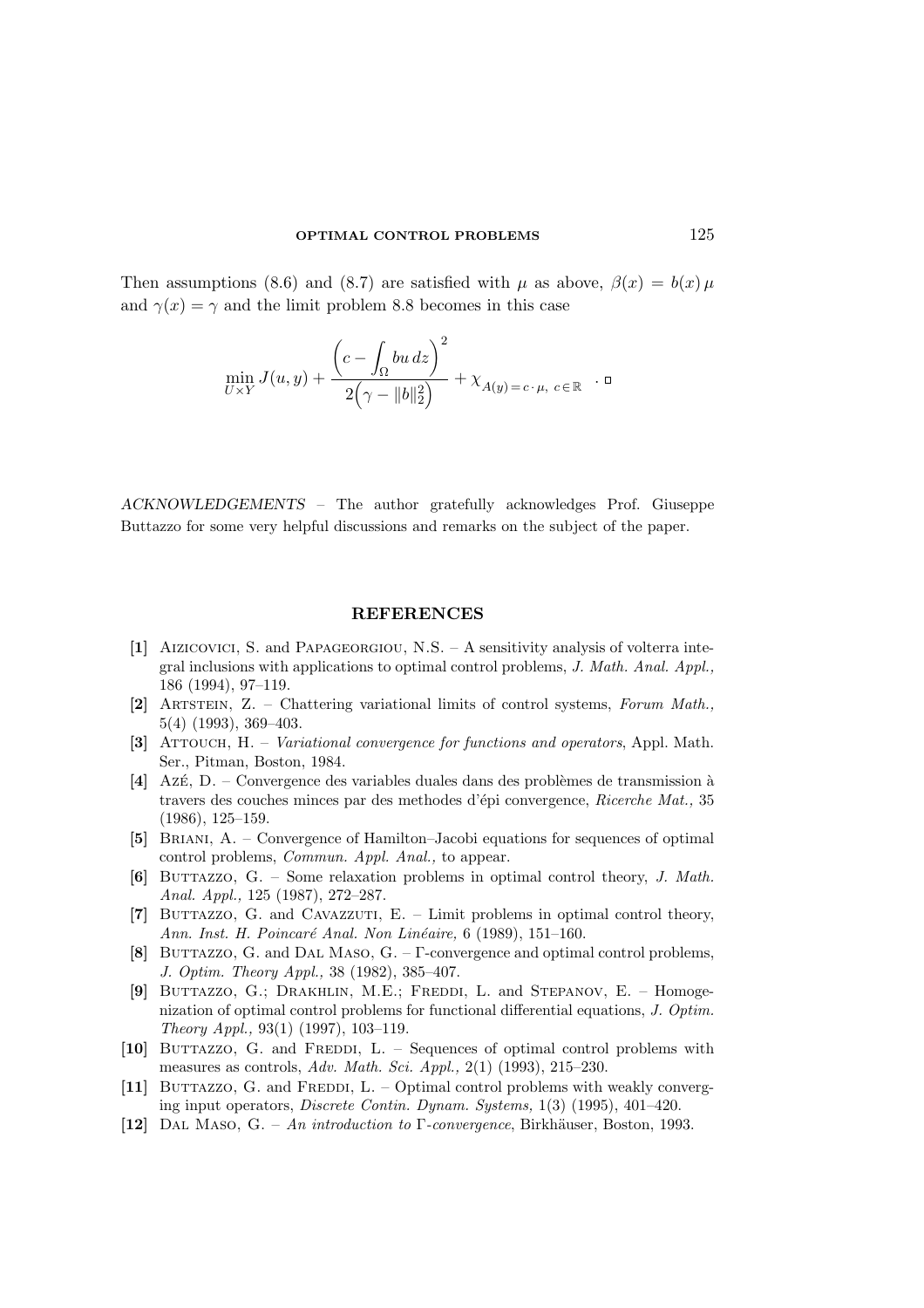Then assumptions (8.6) and (8.7) are satisfied with  $\mu$  as above,  $\beta(x) = b(x) \mu$ and  $\gamma(x) = \gamma$  and the limit problem 8.8 becomes in this case

$$
\min_{U\times Y} J(u, y) + \frac{\left(c - \int_{\Omega} bu \, dz\right)^2}{2\left(\gamma - \|b\|_2^2\right)} + \chi_{A(y) = c \cdot \mu, \ c \in \mathbb{R}} \quad \Box
$$

ACKNOWLEDGEMENTS – The author gratefully acknowledges Prof. Giuseppe Buttazzo for some very helpful discussions and remarks on the subject of the paper.

### REFERENCES

- [1] Aizicovici, S. and Papageorgiou, N.S. A sensitivity analysis of volterra integral inclusions with applications to optimal control problems, J. Math. Anal. Appl., 186 (1994), 97–119.
- [2] Artstein, Z. Chattering variational limits of control systems, Forum Math., 5(4) (1993), 369–403.
- [3] ATTOUCH, H. *Variational convergence for functions and operators*, Appl. Math. Ser., Pitman, Boston, 1984.
- $[4]$  Azé, D. Convergence des variables duales dans des problèmes de transmission à travers des couches minces par des methodes d'épi convergence, Ricerche Mat., 35 (1986), 125–159.
- [5] BRIANI, A. Convergence of Hamilton–Jacobi equations for sequences of optimal control problems, Commun. Appl. Anal., to appear.
- [6] BUTTAZZO, G. Some relaxation problems in optimal control theory, J. Math. Anal. Appl., 125 (1987), 272–287.
- [7] BUTTAZZO, G. and CAVAZZUTI,  $E.$  Limit problems in optimal control theory, Ann. Inst. H. Poincaré Anal. Non Linéaire, 6 (1989), 151–160.
- [8] BUTTAZZO, G. and DAL MASO,  $G. \Gamma$ -convergence and optimal control problems, J. Optim. Theory Appl., 38 (1982), 385–407.
- [9] BUTTAZZO, G.; DRAKHLIN, M.E.; FREDDI, L. and STEPANOV, E. Homogenization of optimal control problems for functional differential equations, J. Optim. Theory Appl., 93(1) (1997), 103–119.
- [10] BUTTAZZO, G. and FREDDI, L. Sequences of optimal control problems with measures as controls, Adv. Math. Sci. Appl., 2(1) (1993), 215–230.
- [11] BUTTAZZO, G. and FREDDI, L. Optimal control problems with weakly converging input operators, Discrete Contin. Dynam. Systems, 1(3) (1995), 401–420.
- [12] DAL MASO, G. An introduction to  $\Gamma$ -convergence, Birkhäuser, Boston, 1993.